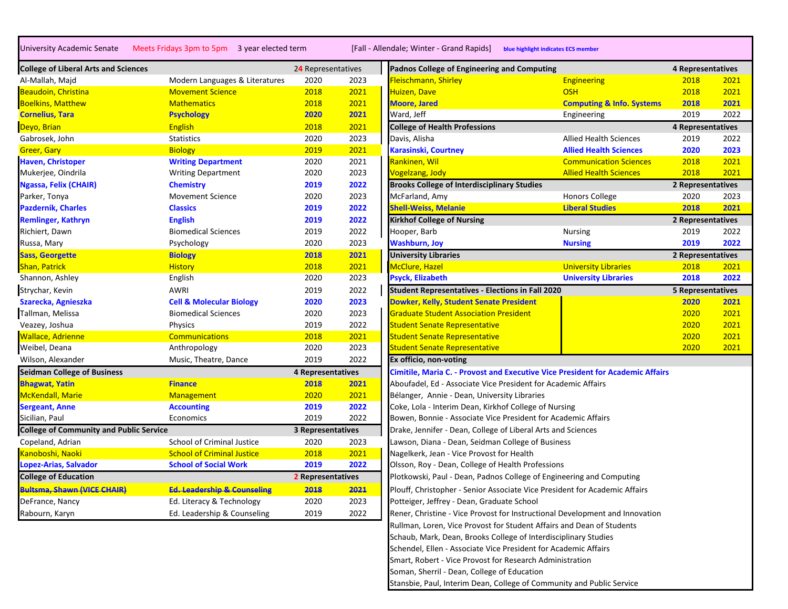University Academic Senate Meets Fridays 3pm to 5pm 3 year elected term [Fall - Allendale; Winter - Grand Rapids] **blue highlight indicates ECS member**

| <b>College of Liberal Arts and Sciences</b>    |                                        | 24 Representatives |      | Padnos College of Engineering and Computing                                    |                                      | 4 Representatives        |     |
|------------------------------------------------|----------------------------------------|--------------------|------|--------------------------------------------------------------------------------|--------------------------------------|--------------------------|-----|
| Al-Mallah, Majd                                | Modern Languages & Literatures         | 2020               | 2023 | Fleischmann, Shirley                                                           | <b>Engineering</b>                   | 2018                     | 202 |
| Beaudoin, Christina                            | <b>Movement Science</b>                | 2018               | 2021 | Huizen, Dave                                                                   | <b>OSH</b>                           | 2018                     | 202 |
| <b>Boelkins, Matthew</b>                       | <b>Mathematics</b>                     | 2018               | 2021 | <b>Moore, Jared</b>                                                            | <b>Computing &amp; Info. Systems</b> | 2018                     | 202 |
| <b>Cornelius, Tara</b>                         | <b>Psychology</b>                      | 2020               | 2021 | Ward, Jeff                                                                     | Engineering                          | 2019                     | 202 |
| Deyo, Brian                                    | <b>English</b>                         | 2018               | 2021 | <b>College of Health Professions</b>                                           |                                      | 4 Representatives        |     |
| Gabrosek, John                                 | <b>Statistics</b>                      | 2020               | 2023 | Davis, Alisha                                                                  | <b>Allied Health Sciences</b>        | 2019                     | 202 |
| <b>Greer, Gary</b>                             | <b>Biology</b>                         | 2019               | 2021 | <b>Karasinski, Courtney</b>                                                    | <b>Allied Health Sciences</b>        | 2020                     | 202 |
| <b>Haven, Christoper</b>                       | <b>Writing Department</b>              | 2020               | 2021 | Rankinen, Wil                                                                  | <b>Communication Sciences</b>        | 2018                     | 202 |
| Mukerjee, Oindrila                             | <b>Writing Department</b>              | 2020               | 2023 | Vogelzang, Jody                                                                | <b>Allied Health Sciences</b>        | 2018                     | 202 |
| Ngassa, Felix (CHAIR)                          | <b>Chemistry</b>                       | 2019               | 2022 | <b>Brooks College of Interdisciplinary Studies</b>                             |                                      | 2 Representatives        |     |
| Parker, Tonya                                  | <b>Movement Science</b>                | 2020               | 2023 | McFarland, Amy                                                                 | <b>Honors College</b>                | 2020                     | 202 |
| <b>Pazdernik, Charles</b>                      | <b>Classics</b>                        | 2019               | 2022 | <b>Shell-Weiss, Melanie</b>                                                    | <b>Liberal Studies</b>               | 2018                     | 202 |
| <b>Remlinger, Kathryn</b>                      | <b>English</b>                         | 2019               | 2022 | <b>Kirkhof College of Nursing</b>                                              |                                      | 2 Representatives        |     |
| Richiert, Dawn                                 | <b>Biomedical Sciences</b>             | 2019               | 2022 | Hooper, Barb                                                                   | <b>Nursing</b>                       | 2019                     | 202 |
| Russa, Mary                                    | Psychology                             | 2020               | 2023 | <b>Washburn, Joy</b>                                                           | <b>Nursing</b>                       | 2019                     | 202 |
| <b>Sass, Georgette</b>                         | <b>Biology</b>                         | 2018               | 2021 | <b>University Libraries</b>                                                    |                                      | 2 Representatives        |     |
| Shan, Patrick                                  | <b>History</b>                         | 2018               | 2021 | McClure, Hazel                                                                 | <b>University Libraries</b>          | 2018                     | 202 |
| Shannon, Ashley                                | English                                | 2020               | 2023 | <b>Psyck, Elizabeth</b>                                                        | <b>University Libraries</b>          | 2018                     | 202 |
| Strychar, Kevin                                | AWRI                                   | 2019               | 2022 | Student Representatives - Elections in Fall 2020                               |                                      | <b>5 Representatives</b> |     |
| Szarecka, Agnieszka                            | <b>Cell &amp; Molecular Biology</b>    | 2020               | 2023 | <b>Dowker, Kelly, Student Senate President</b>                                 |                                      | 2020                     | 202 |
| Tallman, Melissa                               | <b>Biomedical Sciences</b>             | 2020               | 2023 | <b>Graduate Student Association President</b>                                  |                                      | 2020                     | 202 |
| Veazey, Joshua                                 | Physics                                | 2019               | 2022 | <b>Student Senate Representative</b>                                           |                                      | 2020                     | 202 |
| <b>Wallace, Adrienne</b>                       | <b>Communications</b>                  | 2018               | 2021 | <b>Student Senate Representative</b>                                           |                                      | 2020                     | 202 |
| Weibel, Deana                                  | Anthropology                           | 2020               | 2023 | <b>Student Senate Representative</b>                                           |                                      | 2020                     | 202 |
| Wilson, Alexander                              | Music, Theatre, Dance                  | 2019               | 2022 | Ex officio, non-voting                                                         |                                      |                          |     |
| <b>Seidman College of Business</b>             |                                        | 4 Representatives  |      | Cimitile, Maria C. - Provost and Executive Vice President for Academic Affairs |                                      |                          |     |
| <b>Bhagwat, Yatin</b>                          | <b>Finance</b>                         | 2018               | 2021 | Aboufadel, Ed - Associate Vice President for Academic Affairs                  |                                      |                          |     |
| McKendall, Marie                               | Management                             | 2020               | 2021 | Bélanger, Annie - Dean, University Libraries                                   |                                      |                          |     |
| <b>Sergeant, Anne</b>                          | <b>Accounting</b>                      | 2019               | 2022 | Coke, Lola - Interim Dean, Kirkhof College of Nursing                          |                                      |                          |     |
| Sicilian, Paul                                 | Economics                              | 2019               | 2022 | Bowen, Bonnie - Associate Vice President for Academic Affairs                  |                                      |                          |     |
| <b>College of Community and Public Service</b> |                                        | 3 Representatives  |      | Drake, Jennifer - Dean, College of Liberal Arts and Sciences                   |                                      |                          |     |
| Copeland, Adrian                               | <b>School of Criminal Justice</b>      | 2020               | 2023 | Lawson, Diana - Dean, Seidman College of Business                              |                                      |                          |     |
| Kanoboshi, Naoki                               | <b>School of Criminal Justice</b>      | 2018               | 2021 | Nagelkerk, Jean - Vice Provost for Health                                      |                                      |                          |     |
| Lopez-Arias, Salvador                          | <b>School of Social Work</b>           | 2019               | 2022 | Olsson, Roy - Dean, College of Health Professions                              |                                      |                          |     |
| <b>College of Education</b>                    |                                        | 2 Representatives  |      | Plotkowski, Paul - Dean, Padnos College of Engineering and Computing           |                                      |                          |     |
| Bultsma, Shawn (VICE CHAIR)                    | <b>Ed. Leadership &amp; Counseling</b> | 2018               | 2021 | Plouff, Christopher - Senior Associate Vice President for Academic Affairs     |                                      |                          |     |
| DeFrance, Nancy                                | Ed. Literacy & Technology              | 2020               | 2023 | Potteiger, Jeffrey - Dean, Graduate School                                     |                                      |                          |     |
| Rabourn, Karyn                                 | Ed. Leadership & Counseling            | 2019               | 2022 | Rener, Christine - Vice Provost for Instructional Development and Innovation   |                                      |                          |     |
|                                                |                                        |                    |      |                                                                                |                                      |                          |     |

| <b>College of Liberal Arts and Sciences</b>    |                                     | 24 Representatives       |      | Padnos College of Engineering and Computing                                           |                                      | 4 Representatives        |      |
|------------------------------------------------|-------------------------------------|--------------------------|------|---------------------------------------------------------------------------------------|--------------------------------------|--------------------------|------|
| Al-Mallah, Majd                                | Modern Languages & Literatures      | 2020                     | 2023 | Fleischmann, Shirley                                                                  | Engineering                          | 2018                     | 2021 |
| <b>Beaudoin, Christina</b>                     | <b>Movement Science</b>             | 2018                     | 2021 | Huizen, Dave                                                                          | <b>OSH</b>                           | 2018                     | 2021 |
| <b>Boelkins, Matthew</b>                       | <b>Mathematics</b>                  | 2018                     | 2021 | <b>Moore, Jared</b>                                                                   | <b>Computing &amp; Info. Systems</b> | 2018                     | 2021 |
| <b>Cornelius, Tara</b>                         | <b>Psychology</b>                   | 2020                     | 2021 | Ward, Jeff                                                                            | Engineering                          | 2019                     | 2022 |
| Deyo, Brian                                    | <b>English</b>                      | 2018                     | 2021 | <b>College of Health Professions</b>                                                  |                                      | 4 Representatives        |      |
| Gabrosek, John                                 | <b>Statistics</b>                   | 2020                     | 2023 | Davis, Alisha                                                                         | <b>Allied Health Sciences</b>        | 2019                     | 2022 |
| Greer, Gary                                    | <b>Biology</b>                      | 2019                     | 2021 | <b>Karasinski, Courtney</b>                                                           | <b>Allied Health Sciences</b>        | 2020                     | 2023 |
| <b>Haven, Christoper</b>                       | <b>Writing Department</b>           | 2020                     | 2021 | Rankinen, Wil                                                                         | <b>Communication Sciences</b>        | 2018                     | 2021 |
| Mukerjee, Oindrila                             | <b>Writing Department</b>           | 2020                     | 2023 | <b>Vogelzang, Jody</b>                                                                | <b>Allied Health Sciences</b>        | 2018                     | 2021 |
| Ngassa, Felix (CHAIR)                          | <b>Chemistry</b>                    | 2019                     | 2022 | <b>Brooks College of Interdisciplinary Studies</b>                                    |                                      | 2 Representatives        |      |
| Parker, Tonya                                  | <b>Movement Science</b>             | 2020                     | 2023 | McFarland, Amy                                                                        | <b>Honors College</b>                | 2020                     | 2023 |
| <b>Pazdernik, Charles</b>                      | <b>Classics</b>                     | 2019                     | 2022 | <b>Shell-Weiss, Melanie</b>                                                           | <b>Liberal Studies</b>               | 2018                     | 2021 |
| <b>Remlinger, Kathryn</b>                      | <b>English</b>                      | 2019                     | 2022 | <b>Kirkhof College of Nursing</b>                                                     |                                      | 2 Representatives        |      |
| Richiert, Dawn                                 | <b>Biomedical Sciences</b>          | 2019                     | 2022 | Hooper, Barb                                                                          | Nursing                              | 2019                     | 2022 |
| Russa, Mary                                    | Psychology                          | 2020                     | 2023 | <b>Washburn, Joy</b>                                                                  | <b>Nursing</b>                       | 2019                     | 2022 |
| <b>Sass, Georgette</b>                         | <b>Biology</b>                      | 2018                     | 2021 | <b>University Libraries</b>                                                           |                                      | 2 Representatives        |      |
| Shan, Patrick                                  | <b>History</b>                      | 2018                     | 2021 | <b>McClure, Hazel</b>                                                                 | <b>University Libraries</b>          | 2018                     | 2021 |
| Shannon, Ashley                                | English                             | 2020                     | 2023 | <b>Psyck, Elizabeth</b>                                                               | <b>University Libraries</b>          | 2018                     | 2022 |
| Strychar, Kevin                                | <b>AWRI</b>                         | 2019                     | 2022 | <b>Student Representatives - Elections in Fall 2020</b>                               |                                      | <b>5 Representatives</b> |      |
| Szarecka, Agnieszka                            | <b>Cell &amp; Molecular Biology</b> | 2020                     | 2023 | <b>Dowker, Kelly, Student Senate President</b>                                        |                                      | 2020                     | 2021 |
| Tallman, Melissa                               | <b>Biomedical Sciences</b>          | 2020                     | 2023 | <b>Graduate Student Association President</b>                                         |                                      | 2020                     | 2021 |
| Veazey, Joshua                                 | <b>Physics</b>                      | 2019                     | 2022 | <b>Student Senate Representative</b>                                                  |                                      | 2020                     | 2021 |
| <b>Wallace, Adrienne</b>                       | <b>Communications</b>               | 2018                     | 2021 | <b>Student Senate Representative</b>                                                  |                                      | 2020                     | 2021 |
| Weibel, Deana                                  | Anthropology                        | 2020                     | 2023 | <b>Student Senate Representative</b>                                                  |                                      | 2020                     | 2021 |
| Wilson, Alexander                              | Music, Theatre, Dance               | 2019                     | 2022 | Ex officio, non-voting                                                                |                                      |                          |      |
| <b>Seidman College of Business</b>             |                                     | <b>4 Representatives</b> |      | <b>Cimitile, Maria C. - Provost and Executive Vice President for Academic Affairs</b> |                                      |                          |      |
| <b>Bhagwat, Yatin</b>                          | <b>Finance</b>                      | 2018                     | 2021 | Aboufadel, Ed - Associate Vice President for Academic Affairs                         |                                      |                          |      |
| McKendall, Marie                               | Management                          | 2020                     | 2021 | Bélanger, Annie - Dean, University Libraries                                          |                                      |                          |      |
| <b>Sergeant, Anne</b>                          | <b>Accounting</b>                   | 2019                     | 2022 | Coke, Lola - Interim Dean, Kirkhof College of Nursing                                 |                                      |                          |      |
| Sicilian, Paul                                 | Economics                           | 2019                     | 2022 | Bowen, Bonnie - Associate Vice President for Academic Affairs                         |                                      |                          |      |
| <b>College of Community and Public Service</b> |                                     | 3 Representatives        |      | Drake, Jennifer - Dean, College of Liberal Arts and Sciences                          |                                      |                          |      |
| Copeland, Adrian                               | School of Criminal Justice          | 2020                     | 2023 | Lawson, Diana - Dean, Seidman College of Business                                     |                                      |                          |      |
| Kanoboshi, Naoki                               | <b>School of Criminal Justice</b>   | 2018                     | 2021 | Nagelkerk, Jean - Vice Provost for Health                                             |                                      |                          |      |
| Lopez-Arias, Salvador                          | <b>School of Social Work</b>        | 2019                     | 2022 | Olsson, Roy - Dean, College of Health Professions                                     |                                      |                          |      |
| <b>College of Education</b>                    |                                     | 2 Representatives        |      | Plotkowski, Paul - Dean, Padnos College of Engineering and Computing                  |                                      |                          |      |
| <b>Bultsma, Shawn (VICE CHAIR)</b>             | Ed. Leadership & Counseling         | 2018                     | 2021 | Plouff, Christopher - Senior Associate Vice President for Academic Affairs            |                                      |                          |      |
| DeFrance, Nancy                                | Ed. Literacy & Technology           | 2020                     | 2023 | Potteiger, Jeffrey - Dean, Graduate School                                            |                                      |                          |      |
| Rabourn, Karyn                                 | Ed. Leadership & Counseling         | 2019                     | 2022 | Rener, Christine - Vice Provost for Instructional Development and Innovation          |                                      |                          |      |
|                                                |                                     |                          |      | Rullman, Loren, Vice Provost for Student Affairs and Dean of Students                 |                                      |                          |      |
|                                                |                                     |                          |      | Schaub, Mark, Dean, Brooks College of Interdisciplinary Studies                       |                                      |                          |      |
|                                                |                                     |                          |      | Schendel, Ellen - Associate Vice President for Academic Affairs                       |                                      |                          |      |
|                                                |                                     |                          |      | Smart, Robert - Vice Provost for Research Administration                              |                                      |                          |      |
|                                                |                                     |                          |      | Soman, Sherril - Dean, College of Education                                           |                                      |                          |      |

Stansbie, Paul, Interim Dean, College of Community and Public Service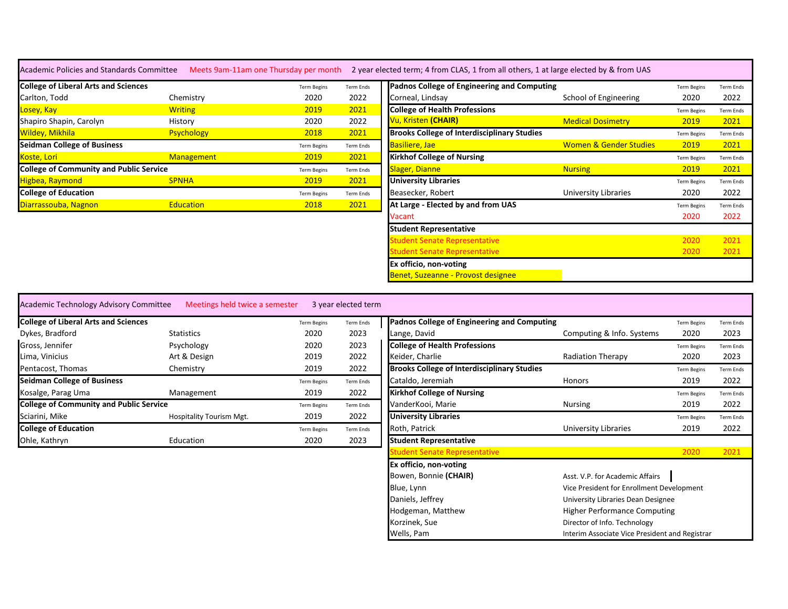|  | Academic Policies and Standa |  |
|--|------------------------------|--|
|  |                              |  |

ards Committee Meets 9am-11am one Thursday per month 2 year elected term; 4 from CLAS, 1 from all others, 1 at large elected by & from UAS

| <b>College of Liberal Arts and Sciences</b>    |                   | <b>Term Begins</b> | Term Ends | Padnos College of Engineering and Computing        |                                   | <b>Term Begins</b> | <b>Term Ends</b> |
|------------------------------------------------|-------------------|--------------------|-----------|----------------------------------------------------|-----------------------------------|--------------------|------------------|
| Carlton, Todd                                  | Chemistry         | 2020               | 2022      | Corneal, Lindsay                                   | School of Engineering             | 2020               | 2022             |
| Losey, Kay                                     | <b>Writing</b>    | 2019               | 2021      | <b>College of Health Professions</b>               |                                   | <b>Term Begins</b> | <b>Term Ends</b> |
| Shapiro Shapin, Carolyn                        | History           | 2020               | 2022      | Vu, Kristen (CHAIR)                                | <b>Medical Dosimetry</b>          | 2019               | 2021             |
| Wildey, Mikhila                                | <b>Psychology</b> | 2018               | 2021      | <b>Brooks College of Interdisciplinary Studies</b> |                                   | <b>Term Begins</b> | <b>Term Ends</b> |
| <b>Seidman College of Business</b>             |                   | <b>Term Begins</b> | Term Ends | Basiliere, Jae                                     | <b>Women &amp; Gender Studies</b> | 2019               | 2021             |
| Koste, Lori                                    | <b>Management</b> | 2019               | 2021      | <b>Kirkhof College of Nursing</b>                  |                                   | <b>Term Begins</b> | <b>Term Ends</b> |
| <b>College of Community and Public Service</b> |                   | <b>Term Begins</b> | Term Ends | Slager, Dianne                                     | <b>Nursing</b>                    | 2019               | 2021             |
| Higbea, Raymond                                | <b>SPNHA</b>      | 2019               | 2021      | <b>University Libraries</b>                        |                                   | <b>Term Begins</b> | <b>Term Ends</b> |
| <b>College of Education</b>                    |                   | <b>Term Begins</b> | Term Ends | Beasecker, Robert                                  | University Libraries              | 2020               | 2022             |
| Diarrassouba, Nagnon                           | <b>Education</b>  | 2018               | 2021      | At Large - Elected by and from UAS                 |                                   | <b>Term Begins</b> | <b>Term Ends</b> |

| <b>Term Ends</b> | Padnos College of Engineering and Computing        |                                   | <b>Term Begins</b> | <b>Term Ends</b> |
|------------------|----------------------------------------------------|-----------------------------------|--------------------|------------------|
| 2022             | Corneal, Lindsay                                   | School of Engineering             | 2020               | 2022             |
| 2021             | <b>College of Health Professions</b>               |                                   | <b>Term Begins</b> | <b>Term Ends</b> |
| 2022             | Vu, Kristen (CHAIR)                                | <b>Medical Dosimetry</b>          | 2019               | 2021             |
| 2021             | <b>Brooks College of Interdisciplinary Studies</b> |                                   | <b>Term Begins</b> | <b>Term Ends</b> |
| <b>Term Ends</b> | <b>Basiliere</b> , Jae                             | <b>Women &amp; Gender Studies</b> | 2019               | 2021             |
| 2021             | <b>Kirkhof College of Nursing</b>                  |                                   | <b>Term Begins</b> | <b>Term Ends</b> |
| <b>Term Ends</b> | <b>Slager, Dianne</b>                              | <b>Nursing</b>                    | 2019               | 2021             |
| 2021             | <b>University Libraries</b>                        |                                   | <b>Term Begins</b> | <b>Term Ends</b> |
| <b>Term Ends</b> | Beasecker, Robert                                  | University Libraries              | 2020               | 2022             |
| 2021             | At Large - Elected by and from UAS                 |                                   | <b>Term Begins</b> | <b>Term Ends</b> |
|                  | Vacant                                             |                                   | 2020               | 2022             |
|                  | <b>Student Representative</b>                      |                                   |                    |                  |
|                  | <b>Student Senate Representative</b>               |                                   | 2020               | 2021             |
|                  | <b>Student Senate Representative</b>               |                                   | 2020               | 2021             |
|                  | Ex officio, non-voting                             |                                   |                    |                  |
|                  | Benet, Suzeanne - Provost designee                 |                                   |                    |                  |
|                  |                                                    |                                   |                    |                  |

| Academic Technology Advisory Committee         | Meetings held twice a semester |                    | 3 year elected term |                                                    |                           |                    |                  |
|------------------------------------------------|--------------------------------|--------------------|---------------------|----------------------------------------------------|---------------------------|--------------------|------------------|
| <b>College of Liberal Arts and Sciences</b>    |                                | <b>Term Begins</b> | Term Ends           | Padnos College of Engineering and Computing        |                           | <b>Term Begins</b> | <b>Term Ends</b> |
| Dykes, Bradford                                | <b>Statistics</b>              | 2020               | 2023                | Lange, David                                       | Computing & Info. Systems | 2020               | 2023             |
| Gross, Jennifer                                | Psychology                     | 2020               | 2023                | <b>College of Health Professions</b>               |                           | <b>Term Begins</b> | <b>Term Ends</b> |
| Lima, Vinicius                                 | Art & Design                   | 2019               | 2022                | Keider, Charlie                                    | <b>Radiation Therapy</b>  | 2020               | 2023             |
| Pentacost, Thomas                              | Chemistry                      | 2019               | 2022                | <b>Brooks College of Interdisciplinary Studies</b> |                           | <b>Term Begins</b> | <b>Term Ends</b> |
| <b>Seidman College of Business</b>             |                                | <b>Term Begins</b> | Term Ends           | Cataldo, Jeremiah                                  | Honors                    | 2019               | 2022             |
| Kosalge, Parag Uma                             | Management                     | 2019               | 2022                | <b>Kirkhof College of Nursing</b>                  |                           | <b>Term Begins</b> | <b>Term Ends</b> |
| <b>College of Community and Public Service</b> |                                | <b>Term Begins</b> | Term Ends           | VanderKooi, Marie                                  | Nursing                   | 2019               | 2022             |
| Sciarini, Mike                                 | Hospitality Tourism Mgt.       | 2019               | 2022                | <b>University Libraries</b>                        |                           | <b>Term Begins</b> | <b>Term Ends</b> |
| <b>College of Education</b>                    |                                | <b>Term Begins</b> | Term Ends           | Roth, Patrick                                      | University Libraries      | 2019               | 2022             |
| Ohle, Kathryn                                  | Education                      | 2020               | 2023                | <b>Student Representative</b>                      |                           |                    |                  |

|                    | 3 year elected term |                                                    |                                                |                    |                  |
|--------------------|---------------------|----------------------------------------------------|------------------------------------------------|--------------------|------------------|
| <b>Term Begins</b> | <b>Term Ends</b>    | <b>Padnos College of Engineering and Computing</b> |                                                | <b>Term Begins</b> | <b>Term Ends</b> |
| 2020               | 2023                | Lange, David                                       | Computing & Info. Systems                      | 2020               | 2023             |
| 2020               | 2023                | <b>College of Health Professions</b>               |                                                | <b>Term Begins</b> | <b>Term Ends</b> |
| 2019               | 2022                | Keider, Charlie                                    | <b>Radiation Therapy</b>                       | 2020               | 2023             |
| 2019               | 2022                | <b>Brooks College of Interdisciplinary Studies</b> |                                                | <b>Term Begins</b> | <b>Term Ends</b> |
| <b>Term Begins</b> | <b>Term Ends</b>    | Cataldo, Jeremiah                                  | <b>Honors</b>                                  | 2019               | 2022             |
| 2019               | 2022                | <b>Kirkhof College of Nursing</b>                  |                                                | <b>Term Begins</b> | <b>Term Ends</b> |
| <b>Term Begins</b> | <b>Term Ends</b>    | VanderKooi, Marie                                  | <b>Nursing</b>                                 | 2019               | 2022             |
| 2019               | 2022                | <b>University Libraries</b>                        |                                                | <b>Term Begins</b> | <b>Term Ends</b> |
| <b>Term Begins</b> | <b>Term Ends</b>    | Roth, Patrick                                      | University Libraries                           | 2019               | 2022             |
| 2020               | 2023                | <b>Student Representative</b>                      |                                                |                    |                  |
|                    |                     | <b>Student Senate Representative</b>               |                                                | 2020               | 2021             |
|                    |                     | Ex officio, non-voting                             |                                                |                    |                  |
|                    |                     | Bowen, Bonnie (CHAIR)                              | Asst. V.P. for Academic Affairs                |                    |                  |
|                    |                     | Blue, Lynn                                         | Vice President for Enrollment Development      |                    |                  |
|                    |                     | Daniels, Jeffrey                                   | University Libraries Dean Designee             |                    |                  |
|                    |                     | Hodgeman, Matthew                                  | <b>Higher Performance Computing</b>            |                    |                  |
|                    |                     | Korzinek, Sue                                      | Director of Info. Technology                   |                    |                  |
|                    |                     | Wells, Pam                                         | Interim Associate Vice President and Registrar |                    |                  |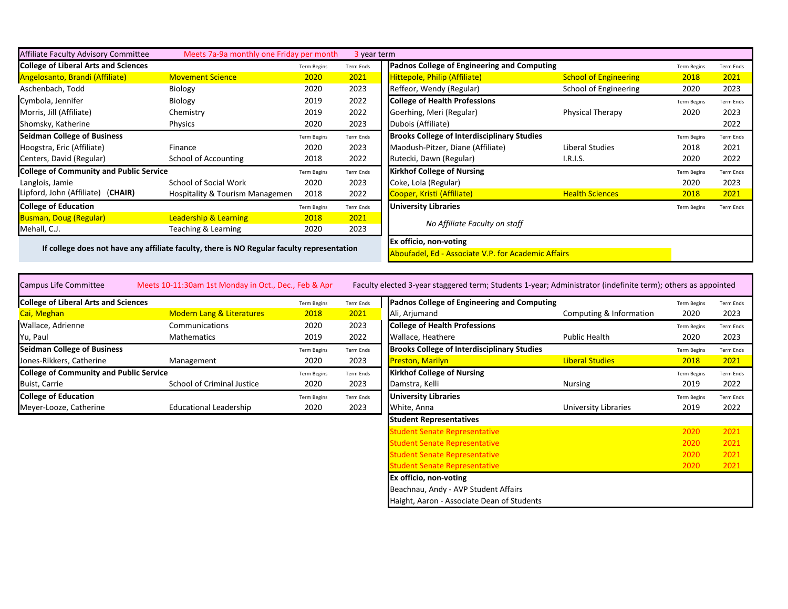| Affiliate Faculty Advisory Committee           | Meets 7a-9a monthly one Friday per month                                                   |                    | 3 year term            |                                                    |                                                     |                    |                  |
|------------------------------------------------|--------------------------------------------------------------------------------------------|--------------------|------------------------|----------------------------------------------------|-----------------------------------------------------|--------------------|------------------|
| <b>College of Liberal Arts and Sciences</b>    |                                                                                            | <b>Term Begins</b> | <b>Term Ends</b>       | Padnos College of Engineering and Computing        |                                                     | <b>Term Begins</b> | <b>Term Ends</b> |
| Angelosanto, Brandi (Affiliate)                | <b>Movement Science</b>                                                                    | 2020               | 2021                   | Hittepole, Philip (Affiliate)                      | <b>School of Engineering</b>                        | 2018               | 2021             |
| Aschenbach, Todd                               | <b>Biology</b>                                                                             | 2020               | 2023                   | Reffeor, Wendy (Regular)                           | School of Engineering                               | 2020               | 2023             |
| Cymbola, Jennifer                              | Biology                                                                                    | 2019               | 2022                   | <b>College of Health Professions</b>               |                                                     | <b>Term Begins</b> | <b>Term Ends</b> |
| Morris, Jill (Affiliate)                       | Chemistry                                                                                  | 2019               | 2022                   | Goerhing, Meri (Regular)                           | <b>Physical Therapy</b>                             | 2020               | 2023             |
| Shomsky, Katherine                             | Physics                                                                                    | 2020               | 2023                   | Dubois (Affiliate)                                 |                                                     |                    | 2022             |
| <b>Seidman College of Business</b>             |                                                                                            | <b>Term Begins</b> | Term Ends              | <b>Brooks College of Interdisciplinary Studies</b> |                                                     | <b>Term Begins</b> | <b>Term Ends</b> |
| Hoogstra, Eric (Affiliate)                     | Finance                                                                                    | 2020               | 2023                   | Maodush-Pitzer, Diane (Affiliate)                  | Liberal Studies                                     | 2018               | 2021             |
| Centers, David (Regular)                       | School of Accounting                                                                       | 2018               | 2022                   | Rutecki, Dawn (Regular)                            | I.R.I.S.                                            | 2020               | 2022             |
| <b>College of Community and Public Service</b> |                                                                                            | <b>Term Begins</b> | Term Ends              | <b>Kirkhof College of Nursing</b>                  |                                                     | <b>Term Begins</b> | <b>Term Ends</b> |
| Langlois, Jamie                                | School of Social Work                                                                      | 2020               | 2023                   | Coke, Lola (Regular)                               |                                                     | 2020               | 2023             |
| Lipford, John (Affiliate) (CHAIR)              | <b>Hospitality &amp; Tourism Managemen</b>                                                 | 2018               | 2022                   | Cooper, Kristi (Affiliate)                         | <b>Health Sciences</b>                              | 2018               | 2021             |
| <b>College of Education</b>                    |                                                                                            | <b>Term Begins</b> | Term Ends              | <b>University Libraries</b>                        |                                                     | <b>Term Begins</b> | <b>Term Ends</b> |
| <b>Busman, Doug (Regular)</b>                  | <b>Leadership &amp; Learning</b>                                                           | 2018               | 2021                   | No Affiliate Faculty on staff                      |                                                     |                    |                  |
| Mehall, C.J.                                   | Teaching & Learning                                                                        | 2020               | 2023                   |                                                    |                                                     |                    |                  |
|                                                |                                                                                            |                    | Ex officio, non-voting |                                                    |                                                     |                    |                  |
|                                                | If college does not have any affiliate faculty, there is NO Regular faculty representation |                    |                        |                                                    | Aboufadel, Ed - Associate V.P. for Academic Affairs |                    |                  |

| <b>Campus Life Committee</b>                   | Meets 10-11:30am 1st Monday in Oct., Dec., Feb & Apr |                    |           | Faculty elected 3-year staggered term; Students 1-year; Administrator (indefinite term); others as appointed |                         |                    |                  |
|------------------------------------------------|------------------------------------------------------|--------------------|-----------|--------------------------------------------------------------------------------------------------------------|-------------------------|--------------------|------------------|
| <b>College of Liberal Arts and Sciences</b>    |                                                      | <b>Term Begins</b> | Term Ends | Padnos College of Engineering and Computing                                                                  |                         | <b>Term Begins</b> | <b>Term Ends</b> |
| Cai, Meghan                                    | <b>Modern Lang &amp; Literatures</b>                 | 2018               | 2021      | Ali, Arjumand                                                                                                | Computing & Information | 2020               | 2023             |
| Wallace, Adrienne                              | Communications                                       | 2020               | 2023      | <b>College of Health Professions</b>                                                                         |                         | <b>Term Begins</b> | <b>Term Ends</b> |
| Yu, Paul                                       | Mathematics                                          | 2019               | 2022      | Wallace, Heathere                                                                                            | Public Health           | 2020               | 2023             |
| Seidman College of Business                    |                                                      | <b>Term Begins</b> | Term Ends | <b>Brooks College of Interdisciplinary Studies</b>                                                           |                         | <b>Term Begins</b> | <b>Term Ends</b> |
| Jones-Rikkers, Catherine                       | Management                                           | 2020               | 2023      | <b>Preston, Marilyn</b>                                                                                      | <b>Liberal Studies</b>  | 2018               | 2021             |
| <b>College of Community and Public Service</b> |                                                      | <b>Term Begins</b> | Term Ends | <b>Kirkhof College of Nursing</b>                                                                            |                         | <b>Term Begins</b> | <b>Term Ends</b> |
| <b>Buist, Carrie</b>                           | School of Criminal Justice                           | 2020               | 2023      | Damstra, Kelli                                                                                               | Nursing                 | 2019               | 2022             |
| <b>College of Education</b>                    |                                                      | <b>Term Begins</b> | Term Ends | <b>University Libraries</b>                                                                                  |                         | <b>Term Begins</b> | <b>Term Ends</b> |
| Meyer-Looze, Catherine                         | Educational Leadership                               | 2020               | 2023      | White, Anna                                                                                                  | University Libraries    | 2019               | 2022             |

| <b>Term Begins</b> | <b>Term Ends</b> | Padnos College of Engineering and Computing        |                         | <b>Term Begins</b> | <b>Term Ends</b> |
|--------------------|------------------|----------------------------------------------------|-------------------------|--------------------|------------------|
| 2018               | 2021             | Ali, Arjumand                                      | Computing & Information | 2020               | 2023             |
| 2020               | 2023             | <b>College of Health Professions</b>               |                         | <b>Term Begins</b> | <b>Term Ends</b> |
| 2019               | 2022             | Wallace, Heathere                                  | Public Health           | 2020               | 2023             |
| <b>Term Begins</b> | <b>Term Ends</b> | <b>Brooks College of Interdisciplinary Studies</b> |                         | <b>Term Begins</b> | <b>Term Ends</b> |
| 2020               | 2023             | <b>Preston, Marilyn</b>                            | <b>Liberal Studies</b>  | 2018               | 2021             |
| <b>Term Begins</b> | <b>Term Ends</b> | <b>Kirkhof College of Nursing</b>                  |                         | <b>Term Begins</b> | <b>Term Ends</b> |
| 2020               | 2023             | Damstra, Kelli                                     | <b>Nursing</b>          | 2019               | 2022             |
| <b>Term Begins</b> | <b>Term Ends</b> | <b>University Libraries</b>                        |                         | <b>Term Begins</b> | <b>Term Ends</b> |
| 2020               | 2023             | White, Anna                                        | University Libraries    | 2019               | 2022             |
|                    |                  | <b>Student Representatives</b>                     |                         |                    |                  |
|                    |                  | <b>Student Senate Representative</b>               |                         | 2020               | 2021             |
|                    |                  | Student Senate Representative                      |                         | 2020               | 2021             |
|                    |                  | <b>Student Senate Representative</b>               |                         | 2020               | 2021             |
|                    |                  | <b>Student Senate Representative</b>               |                         | 2020               | 2021             |
|                    |                  | Ex officio, non-voting                             |                         |                    |                  |
|                    |                  | Beachnau, Andy - AVP Student Affairs               |                         |                    |                  |
|                    |                  | Haight, Aaron - Associate Dean of Students         |                         |                    |                  |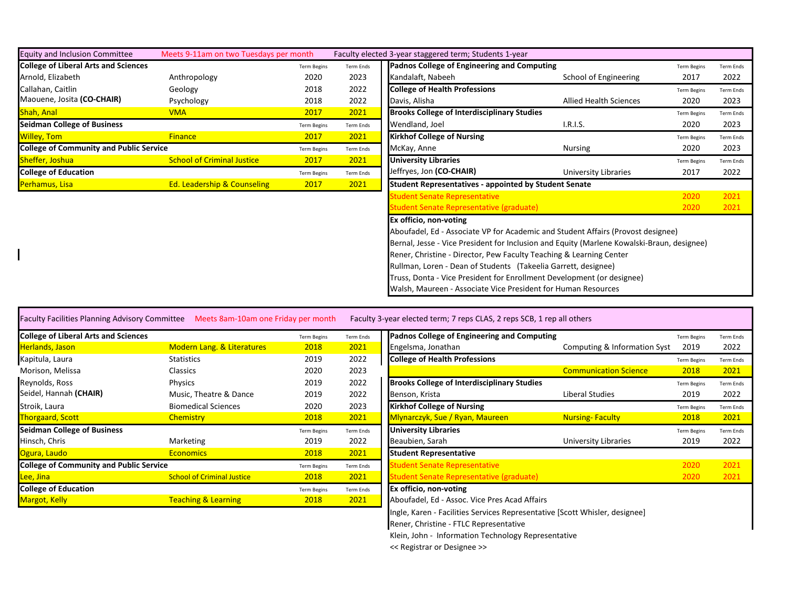| <b>Equity and Inclusion Committee</b>          | Meets 9-11am on two Tuesdays per month |                    |                  | Faculty elected 3-year staggered term; Students 1-year                                     |                        |                    |                  |
|------------------------------------------------|----------------------------------------|--------------------|------------------|--------------------------------------------------------------------------------------------|------------------------|--------------------|------------------|
| <b>College of Liberal Arts and Sciences</b>    |                                        | <b>Term Begins</b> | Term Ends        | Padnos College of Engineering and Computing                                                |                        | <b>Term Begins</b> | <b>Term Ends</b> |
| Arnold, Elizabeth                              | Anthropology                           | 2020               | 2023             | Kandalaft, Nabeeh                                                                          | School of Engineering  | 2017               | 2022             |
| Callahan, Caitlin                              | Geology                                | 2018               | 2022             | <b>College of Health Professions</b>                                                       |                        | <b>Term Begins</b> | <b>Term Ends</b> |
| Maouene, Josita (CO-CHAIR)                     | Psychology                             | 2018               | 2022             | Davis, Alisha                                                                              | Allied Health Sciences | 2020               | 2023             |
| <b>Shah, Anal</b>                              | <b>VMA</b>                             | 2017               | 2021             | <b>Brooks College of Interdisciplinary Studies</b>                                         |                        | <b>Term Begins</b> | <b>Term Ends</b> |
| <b>Seidman College of Business</b>             |                                        | <b>Term Begins</b> | <b>Term Ends</b> | Wendland, Joel                                                                             | <b>I.R.I.S.</b>        | 2020               | 2023             |
| <b>Willey, Tom</b>                             | <b>Finance</b>                         | 2017               | 2021             | <b>Kirkhof College of Nursing</b>                                                          |                        | <b>Term Begins</b> | <b>Term Ends</b> |
| <b>College of Community and Public Service</b> |                                        | <b>Term Begins</b> | Term Ends        | McKay, Anne                                                                                | Nursing                | 2020               | 2023             |
| Sheffer, Joshua                                | <b>School of Criminal Justice</b>      | 2017               | 2021             | <b>University Libraries</b>                                                                |                        | <b>Term Begins</b> | Term Ends        |
| <b>College of Education</b>                    |                                        | <b>Term Begins</b> | Term Ends        | Jeffryes, Jon (CO-CHAIR)                                                                   | University Libraries   | 2017               | 2022             |
| Perhamus, Lisa                                 | <b>Ed. Leadership &amp; Counseling</b> | 2017               | 2021             | <b>Student Representatives - appointed by Student Senate</b>                               |                        |                    |                  |
|                                                |                                        |                    |                  | <b>Student Senate Representative</b>                                                       |                        | 2020               | 2021             |
|                                                |                                        |                    |                  | Student Senate Representative (graduate)                                                   |                        | 2020               | 2021             |
|                                                |                                        |                    |                  | Ex officio, non-voting                                                                     |                        |                    |                  |
|                                                |                                        |                    |                  | Aboufadel, Ed - Associate VP for Academic and Student Affairs (Provost designee)           |                        |                    |                  |
|                                                |                                        |                    |                  | Bernal, Jesse - Vice President for Inclusion and Equity (Marlene Kowalski-Braun, designee) |                        |                    |                  |
|                                                |                                        |                    |                  | Rener, Christine - Director, Pew Faculty Teaching & Learning Center                        |                        |                    |                  |
|                                                |                                        |                    |                  | Rullman, Loren - Dean of Students (Takeelia Garrett, designee)                             |                        |                    |                  |
|                                                |                                        |                    |                  | Truss, Donta - Vice President for Enrollment Development (or designee)                     |                        |                    |                  |
|                                                |                                        |                    |                  | Walsh, Maureen - Associate Vice President for Human Resources                              |                        |                    |                  |

Faculty Facilities Planning Advisory Committee Meets 8am-10am one Friday per month Faculty 3-year elected term; 7 reps CLAS, 2 reps SCB, 1 rep all others

| <b>College of Liberal Arts and Sciences</b>    |                                       | <b>Term Begins</b> | Term Ends | Padnos College of Engineering and Computing        |                              | <b>Term Begins</b> | Term End |
|------------------------------------------------|---------------------------------------|--------------------|-----------|----------------------------------------------------|------------------------------|--------------------|----------|
| Herlands, Jason                                | <b>Modern Lang. &amp; Literatures</b> | 2018               | 2021      | Engelsma, Jonathan                                 | Computing & Information Syst | 2019               | 2022     |
| Kapitula, Laura                                | <b>Statistics</b>                     | 2019               | 2022      | <b>College of Health Professions</b>               |                              | <b>Term Begins</b> | Term End |
| Morison, Melissa                               | <b>Classics</b>                       | 2020               | 2023      |                                                    | <b>Communication Science</b> | 2018               | 2021     |
| Reynolds, Ross                                 | Physics                               | 2019               | 2022      | <b>Brooks College of Interdisciplinary Studies</b> |                              | <b>Term Begins</b> | Term End |
| Seidel, Hannah (CHAIR)                         | Music, Theatre & Dance                | 2019               | 2022      | Benson, Krista                                     | Liberal Studies              | 2019               | 2022     |
| Stroik, Laura                                  | <b>Biomedical Sciences</b>            | 2020               | 2023      | <b>Kirkhof College of Nursing</b>                  |                              | <b>Term Begins</b> | Term End |
| <b>Thorgaard, Scott</b>                        | Chemistry                             | 2018               | 2021      | Mlynarczyk, Sue / Ryan, Maureen                    | <b>Nursing-Faculty</b>       | 2018               | 2021     |
| <b>Seidman College of Business</b>             |                                       | <b>Term Begins</b> | Term Ends | <b>University Libraries</b>                        |                              | <b>Term Begins</b> | Term End |
| Hinsch, Chris                                  | Marketing                             | 2019               | 2022      | Beaubien, Sarah                                    | University Libraries         | 2019               | 2022     |
| Ogura, Laudo                                   | <b>Economics</b>                      | 2018               | 2021      | <b>Student Representative</b>                      |                              |                    |          |
| <b>College of Community and Public Service</b> |                                       | <b>Term Begins</b> | Term Ends | <b>Itudent Senate Representative</b>               |                              | 2020               | 2021     |
| Lee, Jina                                      | <b>School of Criminal Justice</b>     | 2018               | 2021      | <b>Student Senate Representative (graduate)</b>    |                              | 2020               | 2021     |
| <b>College of Education</b>                    |                                       | <b>Term Begins</b> | Term Ends | <b>Ex officio, non-voting</b>                      |                              |                    |          |
| <b>Margot, Kelly</b>                           | <b>Teaching &amp; Learning</b>        | 2018               | 2021      | Aboufadel, Ed - Assoc. Vice Pres Acad Affairs      |                              |                    |          |
|                                                |                                       |                    |           |                                                    |                              |                    |          |

| <b>College of Liberal Arts and Sciences</b>    |                                       | <b>Term Begins</b> | Term Ends | Padnos College of Engineering and Computing                                 |                              | <b>Term Begins</b> | Term Ends        |
|------------------------------------------------|---------------------------------------|--------------------|-----------|-----------------------------------------------------------------------------|------------------------------|--------------------|------------------|
| Herlands, Jason                                | <b>Modern Lang. &amp; Literatures</b> | 2018               | 2021      | Engelsma, Jonathan                                                          | Computing & Information Syst | 2019               | 2022             |
| Kapitula, Laura                                | <b>Statistics</b>                     | 2019               | 2022      | <b>College of Health Professions</b>                                        |                              | <b>Term Begins</b> | <b>Term Ends</b> |
| Morison, Melissa                               | Classics                              | 2020               | 2023      |                                                                             | <b>Communication Science</b> | 2018               | 2021             |
| Reynolds, Ross                                 | Physics                               | 2019               | 2022      | <b>Brooks College of Interdisciplinary Studies</b>                          |                              | <b>Term Begins</b> | <b>Term Ends</b> |
| Seidel, Hannah <b>(CHAIR)</b>                  | Music, Theatre & Dance                | 2019               | 2022      | Benson, Krista                                                              | Liberal Studies              | 2019               | 2022             |
| Stroik, Laura                                  | <b>Biomedical Sciences</b>            | 2020               | 2023      | <b>Kirkhof College of Nursing</b>                                           |                              | <b>Term Begins</b> | <b>Term Ends</b> |
| <b>Thorgaard, Scott</b>                        | <b>Chemistry</b>                      | 2018               | 2021      | Mlynarczyk, Sue / Ryan, Maureen                                             | <b>Nursing-Faculty</b>       | 2018               | 2021             |
| <b>Seidman College of Business</b>             |                                       | <b>Term Begins</b> | Term Ends | <b>University Libraries</b>                                                 |                              | <b>Term Begins</b> | <b>Term Ends</b> |
| Hinsch, Chris                                  | Marketing                             | 2019               | 2022      | Beaubien, Sarah                                                             | University Libraries         | 2019               | 2022             |
| Ogura, Laudo                                   | <b>Economics</b>                      | 2018               | 2021      | <b>Student Representative</b>                                               |                              |                    |                  |
| <b>College of Community and Public Service</b> |                                       | Term Begins        | Term Ends | Student Senate Representative                                               |                              | 2020               | 2021             |
| Lee, Jina                                      | <b>School of Criminal Justice</b>     | 2018               | 2021      | <b>Student Senate Representative (graduate)</b>                             |                              | 2020               | 2021             |
| <b>College of Education</b>                    |                                       | <b>Term Begins</b> | Term Ends | Ex officio, non-voting                                                      |                              |                    |                  |
| <b>Margot, Kelly</b>                           | <b>Teaching &amp; Learning</b>        | 2018               | 2021      | Aboufadel, Ed - Assoc. Vice Pres Acad Affairs                               |                              |                    |                  |
|                                                |                                       |                    |           | Ingle, Karen - Facilities Services Representative [Scott Whisler, designee] |                              |                    |                  |
|                                                |                                       |                    |           | Rener, Christine - FTLC Representative                                      |                              |                    |                  |
|                                                |                                       |                    |           | Klein, John - Information Technology Representative                         |                              |                    |                  |
|                                                |                                       |                    |           | << Registrar or Designee >>                                                 |                              |                    |                  |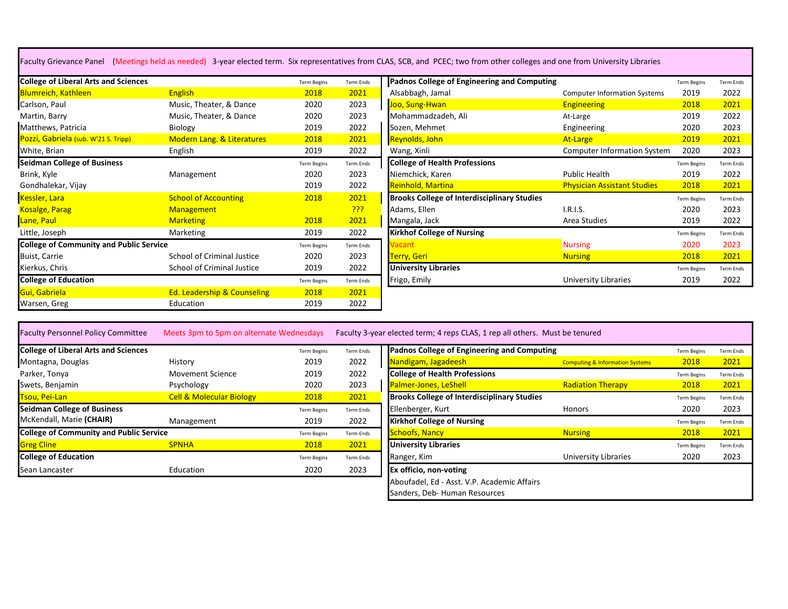Faculty Grievance Panel (Meetings held as needed) 3-year elected term. Six representatives from CLAS, SCB, and PCEC; two from other colleges and one from University Libraries

| <b>College of Liberal Arts and Sciences</b>    |                                        | <b>Term Begins</b> | <b>Term Ends</b> | <b>Padnos College of Engineering and Computing</b> |                                     | <b>Term Begins</b> | Term Ends        |
|------------------------------------------------|----------------------------------------|--------------------|------------------|----------------------------------------------------|-------------------------------------|--------------------|------------------|
| <b>Blumreich, Kathleen</b>                     | <b>English</b>                         | 2018               | 2021             | Alsabbagh, Jamal                                   | <b>Computer Information Systems</b> | 2019               | 2022             |
| Carlson, Paul                                  | Music, Theater, & Dance                | 2020               | 2023             | Joo, Sung-Hwan                                     | <b>Engineering</b>                  | 2018               | 2021             |
| Martin, Barry                                  | Music, Theater, & Dance                | 2020               | 2023             | Mohammadzadeh, Ali                                 | At-Large                            | 2019               | 2022             |
| Matthews, Patricia                             | Biology                                | 2019               | 2022             | Sozen, Mehmet                                      | Engineering                         | 2020               | 2023             |
| Pozzi, Gabriela (sub. W'21 S. Tripp)           | <b>Modern Lang. &amp; Literatures</b>  | 2018               | 2021             | Reynolds, John                                     | At-Large                            | 2019               | 2021             |
| White, Brian                                   | English                                | 2019               | 2022             | Wang, Xinli                                        | Computer Information System         | 2020               | 2023             |
| <b>Seidman College of Business</b>             |                                        | <b>Term Begins</b> | Term Ends        | <b>College of Health Professions</b>               |                                     | <b>Term Begins</b> | Term Ends        |
| Brink, Kyle                                    | Management                             | 2020               | 2023             | Niemchick, Karen                                   | Public Health                       | 2019               | 2022             |
| Gondhalekar, Vijay                             |                                        | 2019               | 2022             | Reinhold, Martina                                  | <b>Physician Assistant Studies</b>  | 2018               | 2021             |
| Kessler, Lara                                  | <b>School of Accounting</b>            | 2018               | 2021             | <b>Brooks College of Interdisciplinary Studies</b> |                                     | <b>Term Begins</b> | Term Ends        |
| <b>Kosalge, Parag</b>                          | <b>Management</b>                      |                    | <b>???</b>       | Adams, Ellen                                       | I.R.I.S.                            | 2020               | 2023             |
| Lane, Paul                                     | <b>Marketing</b>                       | 2018               | 2021             | Mangala, Jack                                      | Area Studies                        | 2019               | 2022             |
| Little, Joseph                                 | Marketing                              | 2019               | 2022             | <b>Kirkhof College of Nursing</b>                  |                                     | <b>Term Begins</b> | <b>Term Ends</b> |
| <b>College of Community and Public Service</b> |                                        | <b>Term Begins</b> | <b>Term Ends</b> | <i><b>Vacant</b></i>                               | <b>Nursing</b>                      | 2020               | 2023             |
| Buist, Carrie                                  | School of Criminal Justice             | 2020               | 2023             | Terry, Geri                                        | <b>Nursing</b>                      | 2018               | 2021             |
| Kierkus, Chris                                 | School of Criminal Justice             | 2019               | 2022             | <b>University Libraries</b>                        |                                     | <b>Term Begins</b> | Term Ends        |
| <b>College of Education</b>                    |                                        | <b>Term Begins</b> | <b>Term Ends</b> | Frigo, Emily                                       | University Libraries                | 2019               | 2022             |
| Gui, Gabriela                                  | <b>Ed. Leadership &amp; Counseling</b> | 2018               | 2021             |                                                    |                                     |                    |                  |
| Warsen, Greg                                   | Education                              | 2019               | 2022             |                                                    |                                     |                    |                  |

Faculty Personnel Policy Committee Meets 3pm to 5pm on alternate Wednesdays Faculty 3-year elected term; 4 reps CLAS, 1 rep all others. Must be tenured

| <b>College of Liberal Arts and Sciences</b>    |                                     | <b>Term Begins</b> | Term Ends | Padnos College of Engineering and Computing        |                                            | <b>Term Begins</b> | <b>Term Ends</b> |
|------------------------------------------------|-------------------------------------|--------------------|-----------|----------------------------------------------------|--------------------------------------------|--------------------|------------------|
| Montagna, Douglas                              | History                             | 2019               | 2022      | Nandigam, Jagadeesh                                | <b>Computing &amp; Information Systems</b> | 2018               | 2021             |
| Parker, Tonya                                  | <b>Movement Science</b>             | 2019               | 2022      | <b>College of Health Professions</b>               |                                            | <b>Term Begins</b> | <b>Term Ends</b> |
| Swets, Benjamin                                | Psychology                          | 2020               | 2023      | <b>Palmer-Jones, LeShell</b>                       | <b>Radiation Therapy</b>                   | 2018               | 2021             |
| Tsou, Pei-Lan                                  | <b>Cell &amp; Molecular Biology</b> | 2018               | 2021      | <b>Brooks College of Interdisciplinary Studies</b> |                                            | <b>Term Begins</b> | <b>Term Ends</b> |
| <b>Seidman College of Business</b>             |                                     | <b>Term Begins</b> | Term Ends | Ellenberger, Kurt                                  | Honors                                     | 2020               | 2023             |
| McKendall, Marie (CHAIR)                       | Management                          | 2019               | 2022      | <b>Kirkhof College of Nursing</b>                  |                                            | <b>Term Begins</b> | <b>Term Ends</b> |
| <b>College of Community and Public Service</b> |                                     | <b>Term Begins</b> | Term Ends | <b>Schoofs, Nancy</b>                              | <b>Nursing</b>                             | 2018               | 2021             |
| <b>Greg Cline</b>                              | <b>SPNHA</b>                        | 2018               | 2021      | <b>University Libraries</b>                        |                                            | <b>Term Begins</b> | Term Ends        |
| <b>College of Education</b>                    |                                     | <b>Term Begins</b> | Term Ends | Ranger, Kim                                        | <b>University Libraries</b>                | 2020               | 2023             |
| Sean Lancaster                                 | Education                           | 2020               | 2023      | <b>Ex officio, non-voting</b>                      |                                            |                    |                  |
|                                                |                                     |                    |           |                                                    |                                            |                    |                  |

| <b>Term Begins</b> | Term Ends        | Padnos College of Engineering and Computing        |                                            | <b>Term Begins</b> | <b>Term Ends</b> |
|--------------------|------------------|----------------------------------------------------|--------------------------------------------|--------------------|------------------|
| 2019               | 2022             | Nandigam, Jagadeesh                                | <b>Computing &amp; Information Systems</b> | 2018               | 2021             |
| 2019               | 2022             | <b>College of Health Professions</b>               |                                            | <b>Term Begins</b> | <b>Term Ends</b> |
| 2020               | 2023             | <b>Palmer-Jones, LeShell</b>                       | <b>Radiation Therapy</b>                   | 2018               | 2021             |
| 2018               | 2021             | <b>Brooks College of Interdisciplinary Studies</b> |                                            | <b>Term Begins</b> | <b>Term Ends</b> |
| <b>Term Begins</b> | Term Ends        | Ellenberger, Kurt                                  | <b>Honors</b>                              | 2020               | 2023             |
| 2019               | 2022             | <b>Kirkhof College of Nursing</b>                  |                                            | <b>Term Begins</b> | <b>Term Ends</b> |
| <b>Term Begins</b> | <b>Term Ends</b> | <b>Schoofs, Nancy</b>                              | <b>Nursing</b>                             | 2018               | 2021             |
| 2018               | 2021             | <b>University Libraries</b>                        |                                            | <b>Term Begins</b> | <b>Term Ends</b> |
| <b>Term Begins</b> | Term Ends        | Ranger, Kim                                        | University Libraries                       | 2020               | 2023             |
| 2020               | 2023             | Ex officio, non-voting                             |                                            |                    |                  |
|                    |                  | Aboufadel, Ed - Asst. V.P. Academic Affairs        |                                            |                    |                  |
|                    |                  | Sanders, Deb- Human Resources                      |                                            |                    |                  |
|                    |                  |                                                    |                                            |                    |                  |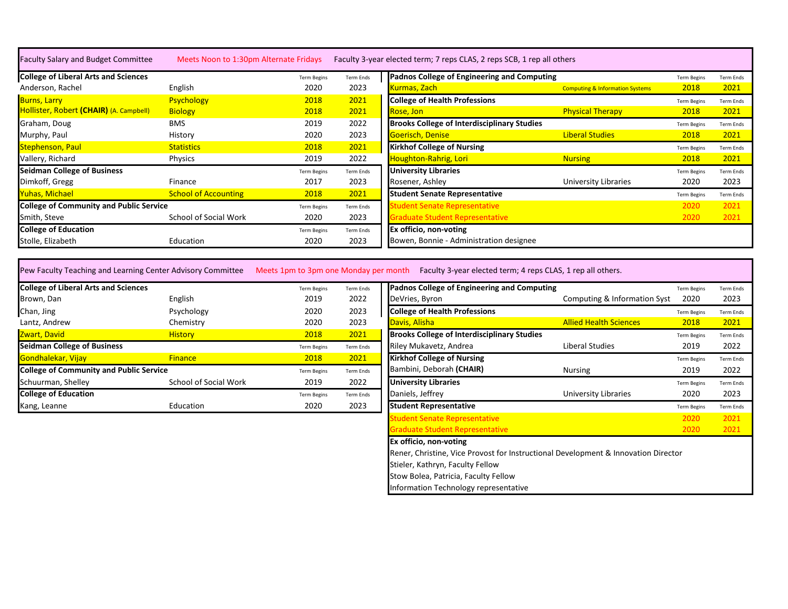| <b>Faculty Salary and Budget Committee</b>     | Meets Noon to 1:30pm Alternate Fridays |                    |                  | Faculty 3-year elected term; 7 reps CLAS, 2 reps SCB, 1 rep all others |                                            |                    |                  |
|------------------------------------------------|----------------------------------------|--------------------|------------------|------------------------------------------------------------------------|--------------------------------------------|--------------------|------------------|
| <b>College of Liberal Arts and Sciences</b>    |                                        | <b>Term Begins</b> | Term Ends        | Padnos College of Engineering and Computing                            |                                            | <b>Term Begins</b> | <b>Term Ends</b> |
| Anderson, Rachel                               | English                                | 2020               | 2023             | <u>Kurmas, Zach-</u>                                                   | <b>Computing &amp; Information Systems</b> | 2018               | 2021             |
| <b>Burns, Larry</b>                            | <b>Psychology</b>                      | 2018               | 2021             | <b>College of Health Professions</b>                                   |                                            | <b>Term Begins</b> | <b>Term Ends</b> |
| Hollister, Robert (CHAIR) (A. Campbell)        | <b>Biology</b>                         | 2018               | 2021             | Rose, Jon                                                              | <b>Physical Therapy</b>                    | 2018               | 2021             |
| Graham, Doug                                   | <b>BMS</b>                             | 2019               | 2022             | <b>Brooks College of Interdisciplinary Studies</b>                     |                                            | <b>Term Begins</b> | <b>Term Ends</b> |
| Murphy, Paul                                   | History                                | 2020               | 2023             | Goerisch, Denise                                                       | <b>Liberal Studies</b>                     | 2018               | 2021             |
| <b>Stephenson, Paul</b>                        | <b>Statistics</b>                      | 2018               | 2021             | <b>Kirkhof College of Nursing</b>                                      |                                            | <b>Term Begins</b> | <b>Term Ends</b> |
| Vallery, Richard                               | <b>Physics</b>                         | 2019               | 2022             | Houghton-Rahrig, Lori                                                  | <b>Nursing</b>                             | 2018               | 2021             |
| <b>Seidman College of Business</b>             |                                        | <b>Term Begins</b> | Term Ends        | <b>University Libraries</b>                                            |                                            | <b>Term Begins</b> | <b>Term Ends</b> |
| Dimkoff, Gregg                                 | Finance                                | 2017               | 2023             | Rosener, Ashley                                                        | University Libraries                       | 2020               | 2023             |
| <b>Yuhas, Michael</b>                          | <b>School of Accounting</b>            | 2018               | 2021             | <b>Student Senate Representative</b>                                   |                                            | <b>Term Begins</b> | <b>Term Ends</b> |
| <b>College of Community and Public Service</b> |                                        | <b>Term Begins</b> | <b>Term Ends</b> | tudent Senate Representative                                           |                                            | 2020               | 2021             |
| Smith, Steve                                   | School of Social Work                  | 2020               | 2023             | <b>Graduate Student Representative</b>                                 |                                            | 2020               | 2021             |
| <b>College of Education</b>                    |                                        | <b>Term Begins</b> | Term Ends        | Ex officio, non-voting                                                 |                                            |                    |                  |
| Stolle, Elizabeth                              | Education                              | 2020               | 2023             | Bowen, Bonnie - Administration designee                                |                                            |                    |                  |

Pew Faculty Teaching and Learning Center Advisory Committee Meets 1pm to 3pm one Monday per month Faculty 3-year elected term; 4 reps CLAS, 1 rep all others.

| <b>College of Liberal Arts and Sciences</b>    |                       | <b>Term Begins</b> | Term Ends | Padnos College of Engineering and Computing        |                               | <b>Term Begins</b> | <b>Term Ends</b> |
|------------------------------------------------|-----------------------|--------------------|-----------|----------------------------------------------------|-------------------------------|--------------------|------------------|
| Brown, Dan                                     | English               | 2019               | 2022      | DeVries, Byron                                     | Computing & Information Syst  | 2020               | 2023             |
| Chan, Jing                                     | Psychology            | 2020               | 2023      | <b>College of Health Professions</b>               |                               | <b>Term Begins</b> | <b>Term Ends</b> |
| Lantz, Andrew                                  | Chemistry             | 2020               | 2023      | Davis, Alisha                                      | <b>Allied Health Sciences</b> | 2018               | 2021             |
| Zwart, David                                   | <b>History</b>        | 2018               | 2021      | <b>Brooks College of Interdisciplinary Studies</b> |                               | <b>Term Begins</b> | <b>Term Ends</b> |
| <b>Seidman College of Business</b>             |                       | <b>Term Begins</b> | Term Ends | Riley Mukavetz, Andrea                             | Liberal Studies               | 2019               | 2022             |
| Gondhalekar, Vijay                             | <b>Finance</b>        | 2018               | 2021      | <b>Kirkhof College of Nursing</b>                  |                               | <b>Term Begins</b> | <b>Term Ends</b> |
| <b>College of Community and Public Service</b> |                       | <b>Term Begins</b> | Term Ends | Bambini, Deborah (CHAIR)                           | Nursing                       | 2019               | 2022             |
| Schuurman, Shelley                             | School of Social Work | 2019               | 2022      | <b>University Libraries</b>                        |                               | <b>Term Begins</b> | <b>Term Ends</b> |
| <b>College of Education</b>                    |                       | <b>Term Begins</b> | Term Ends | Daniels, Jeffrey                                   | University Libraries          | 2020               | 2023             |
| Kang, Leanne                                   | Education             | 2020               | 2023      | <b>Student Representative</b>                      |                               | <b>Term Begins</b> | <b>Term Ends</b> |

| Term Begins        | Term Ends | Padnos College of Engineering and Computing                                        |                               | <b>Term Begins</b> | <b>Term Ends</b> |
|--------------------|-----------|------------------------------------------------------------------------------------|-------------------------------|--------------------|------------------|
| 2019               | 2022      | DeVries, Byron                                                                     | Computing & Information Syst  | 2020               | 2023             |
| 2020               | 2023      | <b>College of Health Professions</b>                                               |                               | <b>Term Begins</b> | <b>Term Ends</b> |
| 2020               | 2023      | Davis, Alisha                                                                      | <b>Allied Health Sciences</b> | 2018               | 2021             |
| 2018               | 2021      | <b>Brooks College of Interdisciplinary Studies</b>                                 |                               | <b>Term Begins</b> | <b>Term Ends</b> |
| Term Begins        | Term Ends | Riley Mukavetz, Andrea                                                             | Liberal Studies               | 2019               | 2022             |
| 2018               | 2021      | <b>Kirkhof College of Nursing</b>                                                  |                               | <b>Term Begins</b> | <b>Term Ends</b> |
| <b>Term Begins</b> | Term Ends | Bambini, Deborah (CHAIR)                                                           | <b>Nursing</b>                | 2019               | 2022             |
| 2019               | 2022      | <b>University Libraries</b>                                                        |                               | <b>Term Begins</b> | <b>Term Ends</b> |
| Term Begins        | Term Ends | Daniels, Jeffrey                                                                   | University Libraries          | 2020               | 2023             |
| 2020               | 2023      | <b>Student Representative</b>                                                      |                               | <b>Term Begins</b> | <b>Term Ends</b> |
|                    |           | <b>Student Senate Representative</b>                                               |                               | 2020               | 2021             |
|                    |           | Graduate Student Representative                                                    |                               | 2020               | 2021             |
|                    |           | Ex officio, non-voting                                                             |                               |                    |                  |
|                    |           | Rener, Christine, Vice Provost for Instructional Development & Innovation Director |                               |                    |                  |
|                    |           | Stieler, Kathryn, Faculty Fellow                                                   |                               |                    |                  |
|                    |           | Stow Bolea, Patricia, Faculty Fellow                                               |                               |                    |                  |

Information Technology representative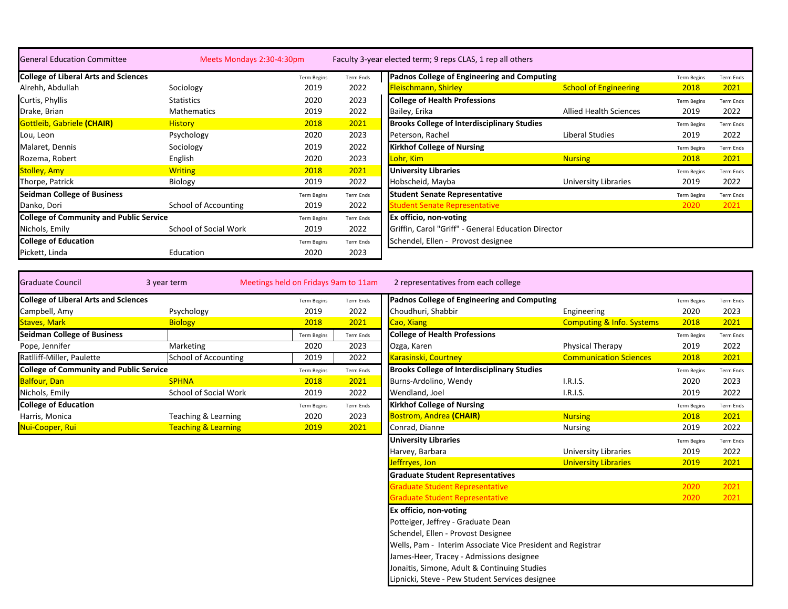| <b>General Education Committee</b>             | Meets Mondays 2:30-4:30pm |                    |                  | Faculty 3-year elected term; 9 reps CLAS, 1 rep all others |                               |                    |                  |
|------------------------------------------------|---------------------------|--------------------|------------------|------------------------------------------------------------|-------------------------------|--------------------|------------------|
| <b>College of Liberal Arts and Sciences</b>    |                           | <b>Term Begins</b> | <b>Term Ends</b> | Padnos College of Engineering and Computing                |                               | <b>Term Begins</b> | Term Ends        |
| Alrehh, Abdullah                               | Sociology                 | 2019               | 2022             | Fleischmann, Shirley                                       | <b>School of Engineering</b>  | 2018               | 2021             |
| Curtis, Phyllis                                | Statistics                | 2020               | 2023             | <b>College of Health Professions</b>                       |                               | <b>Term Begins</b> | <b>Term Ends</b> |
| Drake, Brian                                   | <b>Mathematics</b>        | 2019               | 2022             | Bailey, Erika                                              | <b>Allied Health Sciences</b> | 2019               | 2022             |
| <b>Gottleib, Gabriele (CHAIR)</b>              | <b>History</b>            | 2018               | 2021             | <b>Brooks College of Interdisciplinary Studies</b>         |                               | <b>Term Begins</b> | <b>Term Ends</b> |
| Lou, Leon                                      | Psychology                | 2020               | 2023             | Peterson, Rachel                                           | Liberal Studies               | 2019               | 2022             |
| Malaret, Dennis                                | Sociology                 | 2019               | 2022             | <b>Kirkhof College of Nursing</b>                          |                               | <b>Term Begins</b> | Term Ends        |
| Rozema, Robert                                 | English                   | 2020               | 2023             | Lohr, Kim                                                  | Nursing                       | 2018               | 2021             |
| <b>Stolley, Amy</b>                            | <b>Writing</b>            | 2018               | 2021             | <b>University Libraries</b>                                |                               | <b>Term Begins</b> | <b>Term Ends</b> |
| Thorpe, Patrick                                | <b>Biology</b>            | 2019               | 2022             | Hobscheid, Mayba                                           | University Libraries          | 2019               | 2022             |
| <b>Seidman College of Business</b>             |                           | <b>Term Begins</b> | Term Ends        | <b>Student Senate Representative</b>                       |                               | <b>Term Begins</b> | Term Ends        |
| Danko, Dori                                    | School of Accounting      | 2019               | 2022             | tudent Senate Representative                               |                               | 2020               | 2021             |
| <b>College of Community and Public Service</b> |                           | <b>Term Begins</b> | Term Ends        | Ex officio, non-voting                                     |                               |                    |                  |
| Nichols, Emily                                 | School of Social Work     | 2019               | 2022             | Griffin, Carol "Griff" - General Education Director        |                               |                    |                  |
| <b>College of Education</b>                    |                           | <b>Term Begins</b> | Term Ends        | Schendel, Ellen - Provost designee                         |                               |                    |                  |
| Pickett, Linda                                 | Education                 | 2020               | 2023             |                                                            |                               |                    |                  |

| 3 year term                                    |                    |                                                                                                        | 2 representatives from each college                |                                      |                                             |                  |
|------------------------------------------------|--------------------|--------------------------------------------------------------------------------------------------------|----------------------------------------------------|--------------------------------------|---------------------------------------------|------------------|
| <b>College of Liberal Arts and Sciences</b>    | <b>Term Begins</b> | Term Ends                                                                                              |                                                    |                                      | <b>Term Begins</b>                          | <b>Term Ends</b> |
| Psychology                                     | 2019               | 2022                                                                                                   | Choudhuri, Shabbir                                 | Engineering                          | 2020                                        | 2023             |
| <b>Biology</b>                                 | 2018               | 2021                                                                                                   | Cao, Xiang                                         | <b>Computing &amp; Info. Systems</b> | 2018                                        | 2021             |
|                                                | <b>Term Begins</b> | Term Ends                                                                                              | <b>College of Health Professions</b>               |                                      | <b>Term Begins</b>                          | <b>Term Ends</b> |
| Marketing                                      | 2020               | 2023                                                                                                   | Ozga, Karen                                        | <b>Physical Therapy</b>              | 2019                                        | 2022             |
|                                                | 2019               | 2022                                                                                                   | Karasinski, Courtney                               | <b>Communication Sciences</b>        | 2018                                        | 2021             |
| <b>College of Community and Public Service</b> | <b>Term Begins</b> | Term Ends                                                                                              | <b>Brooks College of Interdisciplinary Studies</b> |                                      | <b>Term Begins</b>                          | <b>Term Ends</b> |
| <b>SPHNA</b>                                   | 2018               | 2021                                                                                                   | Burns-Ardolino, Wendy                              | I.R.I.S.                             | 2020                                        | 2023             |
|                                                | 2019               | 2022                                                                                                   | Wendland, Joel                                     | I.R.I.S.                             | 2019                                        | 2022             |
|                                                | <b>Term Begins</b> | Term Ends                                                                                              | <b>Kirkhof College of Nursing</b>                  |                                      | <b>Term Begins</b>                          | <b>Term Ends</b> |
|                                                | 2020               | 2023                                                                                                   | <b>Bostrom, Andrea (CHAIR)</b>                     | <b>Nursing</b>                       | 2018                                        | 2021             |
|                                                | 2019               | 2021                                                                                                   | Conrad, Dianne                                     | Nursing                              | 2019                                        | 2022             |
|                                                |                    | School of Accounting<br>School of Social Work<br>Teaching & Learning<br><b>Teaching &amp; Learning</b> | Meetings held on Fridays 9am to 11am               |                                      | Padnos College of Engineering and Computing |                  |

|                    | <b>Fridays 9am to 11am</b> | 2 representatives from each college                         |                                      |                    |                  |  |  |  |  |  |
|--------------------|----------------------------|-------------------------------------------------------------|--------------------------------------|--------------------|------------------|--|--|--|--|--|
| <b>Term Begins</b> | Term Ends                  | Padnos College of Engineering and Computing                 |                                      | <b>Term Begins</b> | <b>Term Ends</b> |  |  |  |  |  |
| 2019               | 2022                       | Choudhuri, Shabbir                                          | Engineering                          | 2020               | 2023             |  |  |  |  |  |
| 2018               | 2021                       | Cao, Xiang                                                  | <b>Computing &amp; Info. Systems</b> | 2018               | 2021             |  |  |  |  |  |
| <b>Term Begins</b> | Term Ends                  | <b>College of Health Professions</b>                        |                                      | <b>Term Begins</b> | <b>Term Ends</b> |  |  |  |  |  |
| 2020               | 2023                       | Ozga, Karen                                                 | <b>Physical Therapy</b>              | 2019               | 2022             |  |  |  |  |  |
| 2019               | 2022                       | Karasinski, Courtney                                        | <b>Communication Sciences</b>        | 2018               | 2021             |  |  |  |  |  |
| Term Begins        | <b>Term Ends</b>           | <b>Brooks College of Interdisciplinary Studies</b>          |                                      | <b>Term Begins</b> | Term Ends        |  |  |  |  |  |
| 2018               | 2021                       | Burns-Ardolino, Wendy                                       | I.R.I.S.                             | 2020               | 2023             |  |  |  |  |  |
| 2019               | 2022                       | Wendland, Joel                                              | I.R.I.S.                             | 2019               | 2022             |  |  |  |  |  |
| <b>Term Begins</b> | <b>Term Ends</b>           | <b>Kirkhof College of Nursing</b>                           |                                      | <b>Term Begins</b> | Term Ends        |  |  |  |  |  |
| 2020               | 2023                       | <b>Bostrom, Andrea (CHAIR)</b>                              | <b>Nursing</b>                       | 2018               | 2021             |  |  |  |  |  |
| 2019               | 2021                       | Conrad, Dianne                                              | <b>Nursing</b>                       | 2019               | 2022             |  |  |  |  |  |
|                    |                            | <b>University Libraries</b>                                 |                                      | <b>Term Begins</b> | Term Ends        |  |  |  |  |  |
|                    |                            | Harvey, Barbara                                             | <b>University Libraries</b>          | 2019               | 2022             |  |  |  |  |  |
|                    |                            | Jeffrryes, Jon                                              | <b>University Libraries</b>          | 2019               | 2021             |  |  |  |  |  |
|                    |                            | <b>Graduate Student Representatives</b>                     |                                      |                    |                  |  |  |  |  |  |
|                    |                            | <b>Graduate Student Representative</b>                      |                                      | 2020               | 2021             |  |  |  |  |  |
|                    |                            | <b>Graduate Student Representative</b>                      |                                      | 2020               | 2021             |  |  |  |  |  |
|                    |                            | Ex officio, non-voting                                      |                                      |                    |                  |  |  |  |  |  |
|                    |                            | Potteiger, Jeffrey - Graduate Dean                          |                                      |                    |                  |  |  |  |  |  |
|                    |                            | Schendel, Ellen - Provost Designee                          |                                      |                    |                  |  |  |  |  |  |
|                    |                            | Wells, Pam - Interim Associate Vice President and Registrar |                                      |                    |                  |  |  |  |  |  |
|                    |                            | James-Heer, Tracey - Admissions designee                    |                                      |                    |                  |  |  |  |  |  |
|                    |                            | Jonaitis, Simone, Adult & Continuing Studies                |                                      |                    |                  |  |  |  |  |  |
|                    |                            | Lipnicki, Steve - Pew Student Services designee             |                                      |                    |                  |  |  |  |  |  |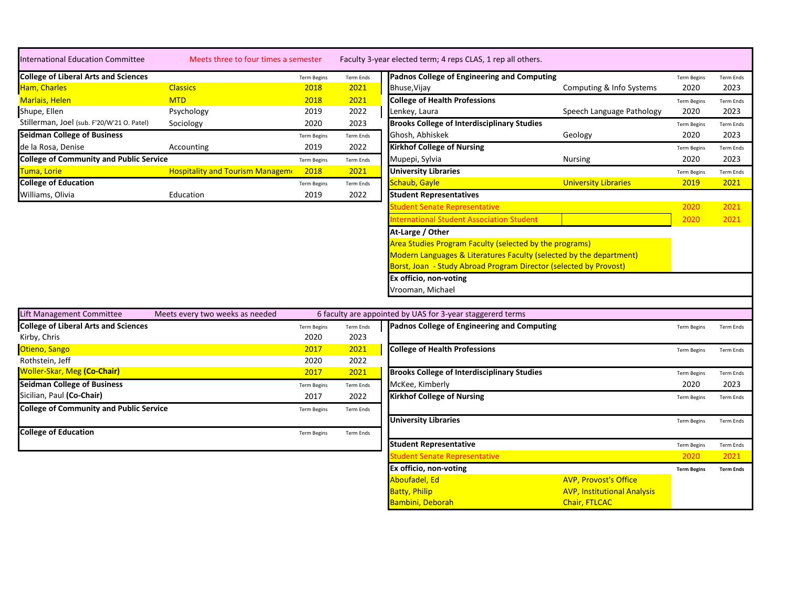| <b>International Education Committee</b>    | Meets three to four times a semester           |                    |                  | Faculty 3-year elected term; 4 reps CLAS, 1 rep all others.         |                             |                    |                  |
|---------------------------------------------|------------------------------------------------|--------------------|------------------|---------------------------------------------------------------------|-----------------------------|--------------------|------------------|
| <b>College of Liberal Arts and Sciences</b> |                                                | <b>Term Begins</b> | Term Ends        | Padnos College of Engineering and Computing                         |                             | <b>Term Begins</b> | Term Ends        |
| Ham, Charles                                | <b>Classics</b>                                | 2018               | 2021             | Bhuse, Vijay                                                        | Computing & Info Systems    | 2020               | 2023             |
| Marlais, Helen                              | <b>MTD</b>                                     | 2018               | 2021             | <b>College of Health Professions</b>                                |                             | <b>Term Begins</b> | Term Ends        |
| Shupe, Ellen                                | Psychology                                     | 2019               | 2022             | Lenkey, Laura                                                       | Speech Language Pathology   | 2020               | 2023             |
| Stillerman, Joel (sub. F'20/W'21 O. Patel)  | Sociology                                      | 2020               | 2023             | <b>Brooks College of Interdisciplinary Studies</b>                  |                             | <b>Term Begins</b> | Term Ends        |
| <b>Seidman College of Business</b>          |                                                | <b>Term Begins</b> | <b>Term Ends</b> | Ghosh, Abhiskek                                                     | Geology                     | 2020               | 2023             |
| de la Rosa, Denise                          | Accounting                                     | 2019               | 2022             | <b>Kirkhof College of Nursing</b>                                   |                             | <b>Term Begins</b> | <b>Term Ends</b> |
|                                             | <b>College of Community and Public Service</b> |                    | <b>Term Ends</b> | Mupepi, Sylvia                                                      | Nursing                     | 2020               | 2023             |
| Tuma, Lorie                                 | <b>Hospitality and Tourism Manageme</b>        | 2018               | 2021             | <b>University Libraries</b>                                         |                             | <b>Term Begins</b> | <b>Term Ends</b> |
| <b>College of Education</b>                 |                                                | <b>Term Begins</b> | <b>Term Ends</b> | Schaub, Gayle                                                       | <b>University Libraries</b> | 2019               | 2021             |
| Williams, Olivia                            | Education                                      | 2019               | 2022             | <b>Student Representatives</b>                                      |                             |                    |                  |
|                                             |                                                |                    |                  | Student Senate Representative                                       |                             | 2020               | 2021             |
|                                             |                                                |                    |                  | nternational Student Association Student                            |                             | 2020               | 2021             |
|                                             |                                                |                    |                  | At-Large / Other                                                    |                             |                    |                  |
|                                             |                                                |                    |                  | Area Studies Program Faculty (selected by the programs)             |                             |                    |                  |
|                                             |                                                |                    |                  | Modern Languages & Literatures Faculty (selected by the department) |                             |                    |                  |
|                                             |                                                |                    |                  | Borst, Joan - Study Abroad Program Director (selected by Provost)   |                             |                    |                  |
|                                             |                                                |                    |                  | Ex officio, non-voting                                              |                             |                    |                  |
|                                             |                                                |                    |                  | Vrooman, Michael                                                    |                             |                    |                  |

| Lift Management Committee                      | Meets every two weeks as needed |                    |                  | 6 faculty are appointed by UAS for 3-year staggererd terms |                    |                  |  |  |  |
|------------------------------------------------|---------------------------------|--------------------|------------------|------------------------------------------------------------|--------------------|------------------|--|--|--|
| <b>College of Liberal Arts and Sciences</b>    |                                 | <b>Term Begins</b> | <b>Term Ends</b> | Padnos College of Engineering and Computing                | Term Begins        | Term Ends        |  |  |  |
| Kirby, Chris                                   |                                 | 2020               | 2023             |                                                            |                    |                  |  |  |  |
| Otieno, Sango                                  |                                 | 2017               | 2021             | <b>College of Health Professions</b>                       | <b>Term Begins</b> | Term Ends        |  |  |  |
| Rothstein, Jeff                                |                                 | 2020               | 2022             |                                                            |                    |                  |  |  |  |
| <b>Woller-Skar, Meg (Co-Chair)</b>             |                                 | 2017               | 2021             | <b>Brooks College of Interdisciplinary Studies</b>         | <b>Term Begins</b> | <b>Term Ends</b> |  |  |  |
| <b>Seidman College of Business</b>             |                                 | <b>Term Begins</b> | <b>Term Ends</b> | McKee, Kimberly                                            | 2020               | 2023             |  |  |  |
| Sicilian, Paul <b>(Co-Chair)</b>               |                                 | 2017               | 2022             | <b>Kirkhof College of Nursing</b>                          | <b>Term Begins</b> | Term Ends        |  |  |  |
| <b>College of Community and Public Service</b> |                                 | <b>Term Begins</b> | Term Ends        |                                                            |                    |                  |  |  |  |
|                                                |                                 |                    |                  | <b>University Libraries</b>                                | <b>Term Begins</b> | Term Ends        |  |  |  |
| <b>College of Education</b>                    |                                 | <b>Term Begins</b> | Term Ends        |                                                            |                    |                  |  |  |  |
|                                                |                                 |                    |                  | <b>Student Representative</b>                              | <b>Term Begins</b> | <b>Term Ends</b> |  |  |  |
|                                                |                                 |                    |                  | udent Senate Representative                                | 2020               | 2021             |  |  |  |
|                                                |                                 |                    |                  |                                                            |                    |                  |  |  |  |

Batty, Philip<br>Batty, Philip<br>Bambini, Deborah

**Ex officio, non-voting Term Begins Term Ends**

**AVP, Institutional Analysis**<br>Chair, FTLCAC

Aboufadel, Ed Ave a Library of AVP, Provost's Office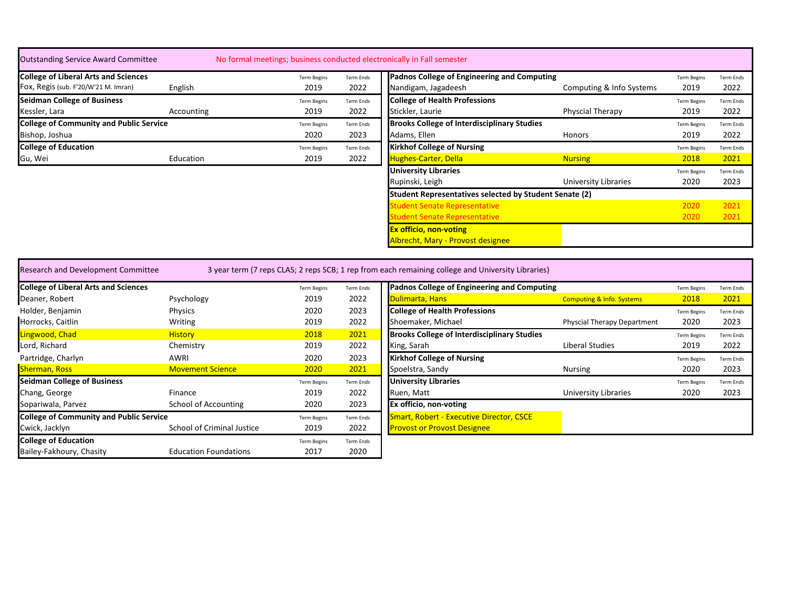| <b>Outstanding Service Award Committee</b>     |            | No formal meetings; business conducted electronically in Fall semester |                  |                                                        |                          |                    |                  |
|------------------------------------------------|------------|------------------------------------------------------------------------|------------------|--------------------------------------------------------|--------------------------|--------------------|------------------|
| <b>College of Liberal Arts and Sciences</b>    |            | <b>Term Begins</b>                                                     | Term Ends        | Padnos College of Engineering and Computing            |                          | <b>Term Begins</b> | <b>Term Ends</b> |
| Fox, Regis (sub. F'20/W'21 M. Imran)           | English    | 2019                                                                   | 2022             | Nandigam, Jagadeesh                                    | Computing & Info Systems | 2019               | 2022             |
| Seidman College of Business                    |            | <b>Term Begins</b>                                                     | <b>Term Ends</b> | <b>College of Health Professions</b>                   |                          | <b>Term Begins</b> | <b>Term Ends</b> |
| Kessler, Lara                                  | Accounting | 2019                                                                   | 2022             | Stickler, Laurie                                       | Physcial Therapy         | 2019               | 2022             |
| <b>College of Community and Public Service</b> |            | <b>Term Begins</b>                                                     | Term Ends        | <b>Brooks College of Interdisciplinary Studies</b>     |                          | <b>Term Begins</b> | <b>Term Ends</b> |
| Bishop, Joshua                                 |            | 2020                                                                   | 2023             | Adams, Ellen                                           | Honors                   | 2019               | 2022             |
| <b>College of Education</b>                    |            | <b>Term Begins</b>                                                     | <b>Term Ends</b> | <b>Kirkhof College of Nursing</b>                      |                          | <b>Term Begins</b> | <b>Term Ends</b> |
| Gu, Wei                                        | Education  | 2019                                                                   | 2022             | <b>Hughes-Carter, Della</b>                            | <b>Nursing</b>           | 2018               | 2021             |
|                                                |            |                                                                        |                  | <b>University Libraries</b>                            |                          | <b>Term Begins</b> | <b>Term Ends</b> |
|                                                |            |                                                                        |                  | Rupinski, Leigh                                        | University Libraries     | 2020               | 2023             |
|                                                |            |                                                                        |                  | Student Representatives selected by Student Senate (2) |                          |                    |                  |
|                                                |            |                                                                        |                  | Student Senate Representative                          |                          | 2020               | 2021             |
|                                                |            |                                                                        |                  | Student Senate Representative                          |                          | 2020               | 2021             |
|                                                |            |                                                                        |                  | <b>Ex officio, non-voting</b>                          |                          |                    |                  |
|                                                |            |                                                                        |                  | Albrecht, Mary - Provost designee                      |                          |                    |                  |
|                                                |            |                                                                        |                  |                                                        |                          |                    |                  |

| <b>Research and Development Committee</b>      |                              |                    |                  | 3 year term (7 reps CLAS; 2 reps SCB; 1 rep from each remaining college and University Libraries) |                                      |                    |                  |
|------------------------------------------------|------------------------------|--------------------|------------------|---------------------------------------------------------------------------------------------------|--------------------------------------|--------------------|------------------|
| <b>College of Liberal Arts and Sciences</b>    |                              | <b>Term Begins</b> | Term Ends        | Padnos College of Engineering and Computing                                                       |                                      | <b>Term Begins</b> | <b>Term Ends</b> |
| Deaner, Robert                                 | Psychology                   | 2019               | 2022             | Dulimarta, Hans                                                                                   | <b>Computing &amp; Info. Systems</b> | 2018               | 2021             |
| Holder, Benjamin                               | Physics                      | 2020               | 2023             | <b>College of Health Professions</b>                                                              |                                      | <b>Term Begins</b> | Term Ends        |
| Horrocks, Caitlin                              | Writing                      | 2019               | 2022             | Shoemaker, Michael                                                                                | <b>Physcial Therapy Department</b>   | 2020               | 2023             |
| Lingwood, Chad                                 | <b>History</b>               | 2018               | 2021             | <b>Brooks College of Interdisciplinary Studies</b>                                                |                                      | <b>Term Begins</b> | Term Ends        |
| Lord, Richard                                  | Chemistry                    | 2019               | 2022             | King, Sarah                                                                                       | Liberal Studies                      | 2019               | 2022             |
| Partridge, Charlyn                             | AWRI                         | 2020               | 2023             | <b>Kirkhof College of Nursing</b>                                                                 |                                      | <b>Term Begins</b> | Term Ends        |
| <b>Sherman, Ross</b>                           | <b>Movement Science</b>      | 2020               | 2021             | Spoelstra, Sandy                                                                                  | <b>Nursing</b>                       | 2020               | 2023             |
| <b>Seidman College of Business</b>             |                              | <b>Term Begins</b> | Term Ends        | <b>University Libraries</b>                                                                       |                                      | <b>Term Begins</b> | Term Ends        |
| Chang, George                                  | Finance                      | 2019               | 2022             | Ruen, Matt                                                                                        | University Libraries                 | 2020               | 2023             |
| Sopariwala, Parvez                             | School of Accounting         | 2020               | 2023             | Ex officio, non-voting                                                                            |                                      |                    |                  |
| <b>College of Community and Public Service</b> |                              | <b>Term Begins</b> | Term Ends        | <b>Smart, Robert - Executive Director, CSCE</b>                                                   |                                      |                    |                  |
| Cwick, Jacklyn                                 | School of Criminal Justice   | 2019               | 2022             | <b>Provost or Provost Designee</b>                                                                |                                      |                    |                  |
| <b>College of Education</b>                    |                              | <b>Term Begins</b> | <b>Term Ends</b> |                                                                                                   |                                      |                    |                  |
| Bailey-Fakhoury, Chasity                       | <b>Education Foundations</b> | 2017               | 2020             |                                                                                                   |                                      |                    |                  |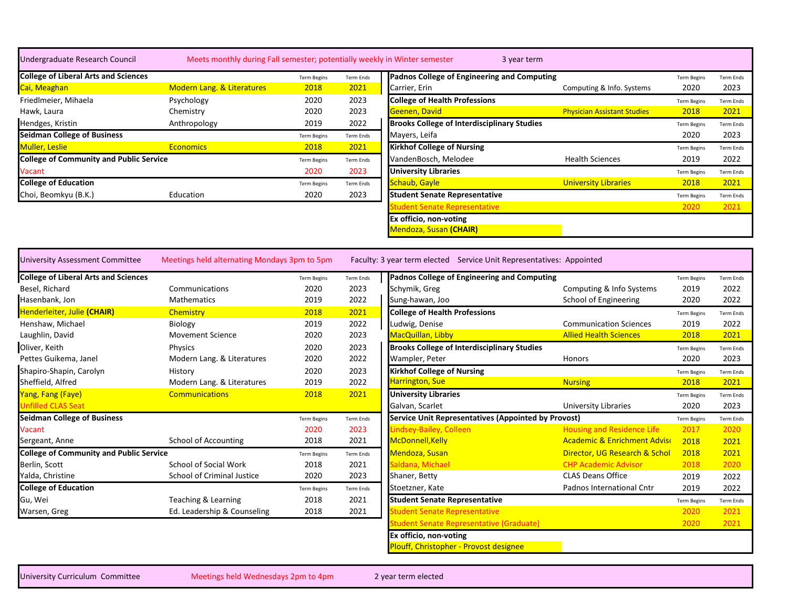| Undergraduate Research Council                 | Meets monthly during Fall semester; potentially weekly in Winter semester |                    |                  | 3 year term                                                          |                                         |                    |                  |
|------------------------------------------------|---------------------------------------------------------------------------|--------------------|------------------|----------------------------------------------------------------------|-----------------------------------------|--------------------|------------------|
| <b>College of Liberal Arts and Sciences</b>    |                                                                           | <b>Term Begins</b> | <b>Term Ends</b> | Padnos College of Engineering and Computing                          |                                         | <b>Term Begins</b> | Term Ends        |
| <mark>Cai, Meaghan</mark>                      | Modern Lang. & Literatures                                                | 2018               | 2021             | Carrier, Erin                                                        | Computing & Info. Systems               | 2020               | 2023             |
| Friedlmeier, Mihaela                           | Psychology                                                                | 2020               | 2023             | <b>College of Health Professions</b>                                 |                                         | <b>Term Begins</b> | Term Ends        |
| Hawk, Laura                                    | Chemistry                                                                 | 2020               | 2023             | Geenen, David                                                        | <b>Physician Assistant Studies</b>      | 2018               | 2021             |
| Hendges, Kristin                               | Anthropology                                                              | 2019               | 2022             | <b>Brooks College of Interdisciplinary Studies</b>                   |                                         | <b>Term Begins</b> | Term Ends        |
| <b>Seidman College of Business</b>             |                                                                           | <b>Term Begins</b> | <b>Term Ends</b> | Mayers, Leifa                                                        |                                         | 2020               | 2023             |
| Muller, Leslie                                 | <b>Economics</b>                                                          | 2018               | 2021             | <b>Kirkhof College of Nursing</b>                                    |                                         | <b>Term Begins</b> | Term Ends        |
| <b>College of Community and Public Service</b> |                                                                           | <b>Term Begins</b> | <b>Term Ends</b> | VandenBosch, Melodee                                                 | <b>Health Sciences</b>                  | 2019               | 2022             |
| Vacant                                         |                                                                           | 2020               | 2023             | <b>University Libraries</b>                                          |                                         | <b>Term Begins</b> | <b>Term Ends</b> |
| <b>College of Education</b>                    |                                                                           | <b>Term Begins</b> | <b>Term Ends</b> | Schaub, Gayle                                                        | <b>University Libraries</b>             | 2018               | 2021             |
| Choi, Beomkyu (B.K.)                           | Education                                                                 | 2020               | 2023             | <b>Student Senate Representative</b>                                 |                                         | <b>Term Begins</b> | Term Ends        |
|                                                |                                                                           |                    |                  | <b>Student Senate Representative</b>                                 |                                         | 2020               | 2021             |
|                                                |                                                                           |                    |                  | Ex officio, non-voting                                               |                                         |                    |                  |
|                                                |                                                                           |                    |                  | <b>Mendoza, Susan (CHAIR)</b>                                        |                                         |                    |                  |
|                                                |                                                                           |                    |                  |                                                                      |                                         |                    |                  |
| <b>Jniversity Assessment Committee</b>         | Meetings held alternating Mondays 3pm to 5pm                              |                    |                  | Faculty: 3 year term elected Service Unit Representatives: Appointed |                                         |                    |                  |
| <b>College of Liberal Arts and Sciences</b>    |                                                                           | Term Begins        | <b>Term Ends</b> | Padnos College of Engineering and Computing                          |                                         | <b>Term Begins</b> | Term Ends        |
| Besel, Richard                                 | Communications                                                            | 2020               | 2023             | Schymik, Greg                                                        | Computing & Info Systems                | 2019               | 2022             |
| Hasenbank, Jon                                 | Mathematics                                                               | 2019               | 2022             | Sung-hawan, Joo                                                      | School of Engineering                   | 2020               | 2022             |
| Henderleiter, Julie (CHAIR)                    | Chemistry                                                                 | 2018               | 2021             | <b>College of Health Professions</b>                                 |                                         | <b>Term Begins</b> | Term Ends        |
| Henshaw, Michael                               | <b>Biology</b>                                                            | 2019               | 2022             | Ludwig, Denise                                                       | <b>Communication Sciences</b>           | 2019               | 2022             |
| Laughlin, David                                | <b>Movement Science</b>                                                   | 2020               | 2023             | MacQuillan, Libby                                                    | <b>Allied Health Sciences</b>           | 2018               | 2021             |
| Oliver, Keith                                  | <b>Physics</b>                                                            | 2020               | 2023             | <b>Brooks College of Interdisciplinary Studies</b>                   |                                         | <b>Term Begins</b> | <b>Term Ends</b> |
| Pettes Guikema, Janel                          | Modern Lang. & Literatures                                                | 2020               | 2022             | Wampler, Peter                                                       | Honors                                  | 2020               | 2023             |
| Shapiro-Shapin, Carolyn                        | History                                                                   | 2020               | 2023             | <b>Kirkhof College of Nursing</b>                                    |                                         | <b>Term Begins</b> | <b>Term Ends</b> |
| Sheffield, Alfred                              | Modern Lang. & Literatures                                                | 2019               | 2022             | Harrington, Sue                                                      | <b>Nursing</b>                          | 2018               | 2021             |
| Yang, Fang (Faye)                              | <b>Communications</b>                                                     | 2018               | 2021             | <b>University Libraries</b>                                          |                                         | <b>Term Begins</b> | Term Ends        |
| <b>Jnfilled CLAS Seat</b>                      |                                                                           |                    |                  | Galvan, Scarlet                                                      | <b>University Libraries</b>             | 2020               | 2023             |
| Seidman College of Business                    |                                                                           | <b>Term Begins</b> | Term Ends        | <b>Service Unit Representatives (Appointed by Provost)</b>           |                                         | <b>Term Begins</b> | <b>Term Ends</b> |
| /acant                                         |                                                                           | 2020               | 2023             | Lindsey-Bailey, Colleen                                              | <b>Housing and Residence Life</b>       | 2017               | 2020             |
| Sergeant, Anne                                 | <b>School of Accounting</b>                                               | 2018               | 2021             | McDonnell, Kelly                                                     | <b>Academic &amp; Enrichment Advisc</b> | 2018               | 2021             |
| <b>College of Community and Public Service</b> |                                                                           | Term Begins        | <b>Term Ends</b> | Mendoza, Susan                                                       | Director, UG Research & Schol           | 2018               | 2021             |
| Berlin, Scott                                  | School of Social Work                                                     | 2018               | 2021             | Saldana, Michael                                                     | <b>CHP Academic Advisor</b>             | 2018               | 2020             |
| Yalda, Christine                               | School of Criminal Justice                                                | 2020               | 2023             | Shaner, Betty                                                        | <b>CLAS Deans Office</b>                | 2019               | 2022             |
| <b>College of Education</b>                    |                                                                           | <b>Term Begins</b> | <b>Term Ends</b> | Stoetzner, Kate                                                      | Padnos International Cntr               | 2019               | 2022             |
| Gu, Wei                                        | Teaching & Learning                                                       | 2018               | 2021             | <b>Student Senate Representative</b>                                 |                                         | <b>Term Begins</b> | <b>Term Ends</b> |
| Warsen, Greg                                   | Ed. Leadership & Counseling                                               | 2018               | 2021             | <b>Student Senate Representative</b>                                 |                                         | 2020               | 2021             |

**Ex officio, non-voting** Plouff, Christopher - Provost designee

Student Senate Representative (Graduate) 2020 2021

University Curriculum Committee Meetings held Wednesdays 2pm to 4pm 2 year term elected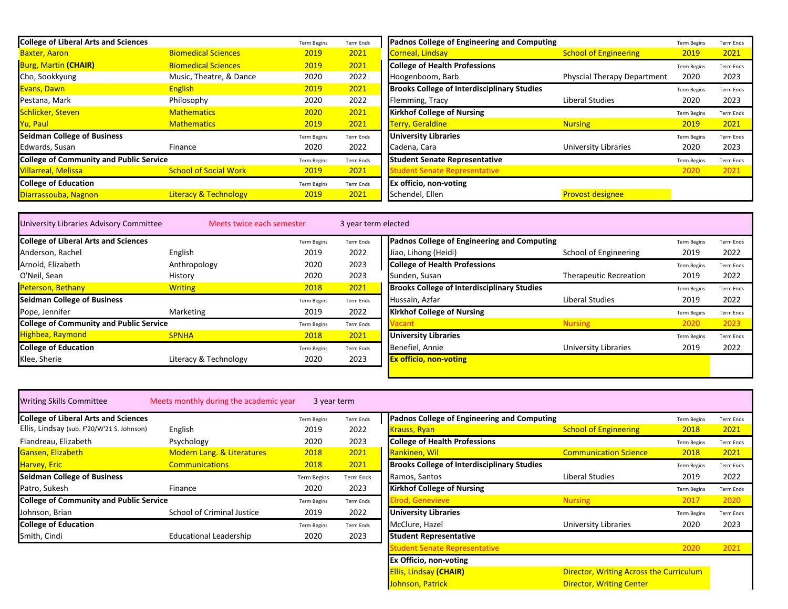| <b>College of Liberal Arts and Sciences</b>    |                                  | <b>Term Begins</b> | Term Ends | Padnos College of Engineering and Computing        |                                    | <b>Term Begins</b> | Term Ends        |
|------------------------------------------------|----------------------------------|--------------------|-----------|----------------------------------------------------|------------------------------------|--------------------|------------------|
| <b>Baxter, Aaron</b>                           | <b>Biomedical Sciences</b>       | 2019               | 2021      | Corneal, Lindsay                                   | <b>School of Engineering</b>       | 2019               | 2021             |
| <b>Burg, Martin (CHAIR)</b>                    | <b>Biomedical Sciences</b>       | 2019               | 2021      | <b>College of Health Professions</b>               |                                    | <b>Term Begins</b> | Term Ends        |
| Cho, Sookkyung                                 | Music, Theatre, & Dance          | 2020               | 2022      | Hoogenboom, Barb                                   | <b>Physcial Therapy Department</b> | 2020               | 2023             |
| Evans, Dawn                                    | <b>English</b>                   | 2019               | 2021      | <b>Brooks College of Interdisciplinary Studies</b> |                                    | <b>Term Begins</b> | Term Ends        |
| Pestana, Mark                                  | Philosophy                       | 2020               | 2022      | Flemming, Tracy                                    | <b>Liberal Studies</b>             | 2020               | 2023             |
| Schlicker, Steven                              | <b>Mathematics</b>               | 2020               | 2021      | <b>Kirkhof College of Nursing</b>                  |                                    | <b>Term Begins</b> | <b>Term Ends</b> |
| Yu, Paul                                       | <b>Mathematics</b>               | 2019               | 2021      | <b>Terry, Geraldine</b>                            | <b>Nursing</b>                     | 2019               | 2021             |
| <b>Seidman College of Business</b>             |                                  | <b>Term Begins</b> | Term Ends | <b>University Libraries</b>                        |                                    | <b>Term Begins</b> | Term Ends        |
| Edwards, Susan                                 | Finance                          | 2020               | 2022      | Cadena, Cara                                       | University Libraries               | 2020               | 2023             |
| <b>College of Community and Public Service</b> |                                  | <b>Term Begins</b> | Term Ends | <b>Student Senate Representative</b>               |                                    | <b>Term Begins</b> | <b>Term Ends</b> |
| Villarreal, Melissa                            | <b>School of Social Work</b>     | 2019               | 2021      | tudent Senate Representative                       |                                    | 2020               | 2021             |
| <b>College of Education</b>                    |                                  | <b>Term Begins</b> | Term Ends | <b>Ex officio, non-voting</b>                      |                                    |                    |                  |
| Diarrassouba, Nagnon                           | <b>Literacy &amp; Technology</b> | 2019               | 2021      | Schendel, Ellen                                    | <b>Provost designee</b>            |                    |                  |

| University Libraries Advisory Committee        | Meets twice each semester |                    | 3 year term elected |                                                    |                                                                   |                    |                  |
|------------------------------------------------|---------------------------|--------------------|---------------------|----------------------------------------------------|-------------------------------------------------------------------|--------------------|------------------|
| <b>College of Liberal Arts and Sciences</b>    |                           | <b>Term Begins</b> | <b>Term Ends</b>    |                                                    | Padnos College of Engineering and Computing<br><b>Term Begins</b> |                    | Term Ends        |
| Anderson, Rachel                               | English                   | 2019               | 2022                | Jiao, Lihong (Heidi)                               | School of Engineering                                             | 2019               | 2022             |
| Arnold, Elizabeth                              | Anthropology              | 2020               | 2023                | <b>College of Health Professions</b>               |                                                                   | <b>Term Begins</b> | <b>Term Ends</b> |
| O'Neil, Sean                                   | History                   | 2020               | 2023                | Sunden, Susan                                      | <b>Therapeutic Recreation</b>                                     | 2019               | 2022             |
| Peterson, Bethany                              | <b>Writing</b>            | 2018               | 2021                | <b>Brooks College of Interdisciplinary Studies</b> |                                                                   | <b>Term Begins</b> | <b>Term Ends</b> |
| <b>Seidman College of Business</b>             |                           | <b>Term Begins</b> | Term Ends           | Hussain, Azfar                                     | <b>Liberal Studies</b>                                            | 2019               | 2022             |
| Pope, Jennifer                                 | Marketing                 | 2019               | 2022                | <b>Kirkhof College of Nursing</b>                  |                                                                   | <b>Term Begins</b> | <b>Term Ends</b> |
| <b>College of Community and Public Service</b> |                           | <b>Term Begins</b> | Term Ends           |                                                    | <b>Nursing</b>                                                    | 2020               | 2023             |
| Highbea, Raymond                               | <b>SPNHA</b>              | 2018               | 2021                | <b>University Libraries</b>                        |                                                                   | <b>Term Begins</b> | <b>Term Ends</b> |
| <b>College of Education</b>                    |                           | <b>Term Begins</b> | <b>Term Ends</b>    | Benefiel, Annie                                    | University Libraries                                              | 2019               | 2022             |
| Klee, Sherie                                   | Literacy & Technology     | 2020               | 2023                | <b>Ex officio, non-voting</b>                      |                                                                   |                    |                  |
|                                                |                           |                    |                     |                                                    |                                                                   |                    |                  |

| <b>Writing Skills Committee</b>                | Meets monthly during the academic year | 3 year term        |                  |                                                    |                                         |                    |                  |
|------------------------------------------------|----------------------------------------|--------------------|------------------|----------------------------------------------------|-----------------------------------------|--------------------|------------------|
| <b>College of Liberal Arts and Sciences</b>    |                                        | <b>Term Begins</b> | <b>Term Ends</b> | Padnos College of Engineering and Computing        |                                         | <b>Term Begins</b> | <b>Term Ends</b> |
| Ellis, Lindsay (sub. F'20/W'21 S. Johnson)     | English                                | 2019               | 2022             | Krauss, Ryan                                       | <b>School of Engineering</b>            | 2018               | 2021             |
| Flandreau, Elizabeth                           | Psychology                             | 2020               | 2023             | <b>College of Health Professions</b>               |                                         | <b>Term Begins</b> | <b>Term Ends</b> |
| Gansen, Elizabeth                              | <b>Modern Lang. &amp; Literatures</b>  | 2018               | 2021             | <b>Rankinen, Wil</b>                               | <b>Communication Science</b>            | 2018               | 2021             |
| <b>Harvey, Eric</b>                            | <b>Communications</b>                  | 2018               | 2021             | <b>Brooks College of Interdisciplinary Studies</b> |                                         | <b>Term Begins</b> | <b>Term Ends</b> |
| <b>Seidman College of Business</b>             |                                        | <b>Term Begins</b> | Term Ends        | Ramos, Santos                                      | Liberal Studies                         | 2019               | 2022             |
| Patro, Sukesh                                  | Finance                                | 2020               | 2023             | <b>Kirkhof College of Nursing</b>                  |                                         | <b>Term Begins</b> | <b>Term Ends</b> |
| <b>College of Community and Public Service</b> |                                        | <b>Term Begins</b> | Term Ends        | Irod, Genevieve                                    | <b>Nursing</b>                          | 2017               | 2020             |
| Johnson, Brian                                 | School of Criminal Justice             | 2019               | 2022             | <b>University Libraries</b>                        |                                         | <b>Term Begins</b> | <b>Term Ends</b> |
| <b>College of Education</b>                    |                                        | <b>Term Begins</b> | Term Ends        | McClure, Hazel                                     | University Libraries                    | 2020               | 2023             |
| Smith, Cindi                                   | <b>Educational Leadership</b>          | 2020               | 2023             | <b>Student Representative</b>                      |                                         |                    |                  |
|                                                |                                        |                    |                  | student Senate Representative                      |                                         | 2020               | 2021             |
|                                                |                                        |                    |                  | <b>Ex Officio, non-voting</b>                      |                                         |                    |                  |
|                                                |                                        |                    |                  | <b>Ellis, Lindsay (CHAIR)</b>                      | Director, Writing Across the Curriculum |                    |                  |
|                                                |                                        |                    |                  | Johnson, Patrick                                   | <b>Director, Writing Center</b>         |                    |                  |

| Ex Officio, non-voting |                                         |
|------------------------|-----------------------------------------|
| Ellis, Lindsay (CHAIR) | Director, Writing Across the Curriculum |
| Johnson. Patrick       | <b>Director, Writing Center</b>         |
|                        |                                         |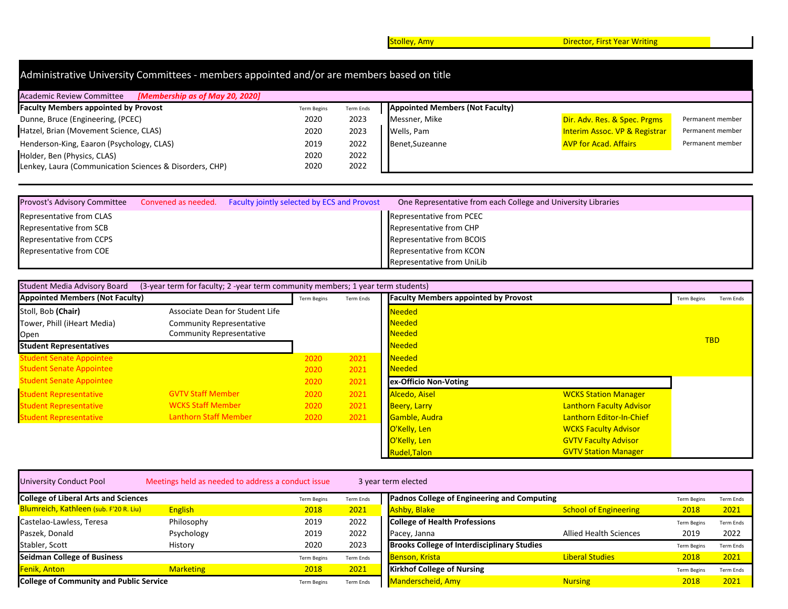**Stolley, Amy Director, First Year Writing Stolley, Amy Director, First Year Writing** 

| Administrative University Committees - members appointed and/or are members based on title |           |                 |                                          |                                        |  |  |  |  |  |  |
|--------------------------------------------------------------------------------------------|-----------|-----------------|------------------------------------------|----------------------------------------|--|--|--|--|--|--|
| <b>Academic Review Committee</b><br>[Membership as of May 20, 2020]                        |           |                 |                                          |                                        |  |  |  |  |  |  |
| <b>Term Begins</b>                                                                         | Term Ends |                 |                                          |                                        |  |  |  |  |  |  |
| 2020                                                                                       | 2023      | Messner, Mike   | Dir. Adv. Res. & Spec. Prgms             | Permanent member                       |  |  |  |  |  |  |
| 2020                                                                                       | 2023      | Wells, Pam      | <b>Interim Assoc. VP &amp; Registrar</b> | Permanent member                       |  |  |  |  |  |  |
| 2019                                                                                       | 2022      | Benet, Suzeanne | <b>AVP for Acad. Affairs</b>             | Permanent member                       |  |  |  |  |  |  |
| 2020                                                                                       | 2022      |                 |                                          |                                        |  |  |  |  |  |  |
| 2020                                                                                       | 2022      |                 |                                          |                                        |  |  |  |  |  |  |
|                                                                                            |           |                 |                                          | <b>Appointed Members (Not Faculty)</b> |  |  |  |  |  |  |

| <b>Provost's Advisory Committee</b> | Convened as needed. Faculty jointly selected by ECS and Provost | One Representative from each College and University Libraries |
|-------------------------------------|-----------------------------------------------------------------|---------------------------------------------------------------|
| Representative from CLAS            |                                                                 | Representative from PCEC                                      |
| Representative from SCB             |                                                                 | Representative from CHP                                       |
| Representative from CCPS            |                                                                 | Representative from BCOIS                                     |
| Representative from COE             |                                                                 | Representative from KCON                                      |
|                                     |                                                                 | Representative from UniLib                                    |

| <b>Student Media Advisory Board</b>    | (3-year term for faculty; 2 -year term community members; 1 year term students) |                    |           |                                             |                             |                          |  |  |  |  |  |
|----------------------------------------|---------------------------------------------------------------------------------|--------------------|-----------|---------------------------------------------|-----------------------------|--------------------------|--|--|--|--|--|
| <b>Appointed Members (Not Faculty)</b> |                                                                                 | <b>Term Begins</b> | Term Ends | <b>Faculty Members appointed by Provost</b> |                             | Term Begins<br>Term Ends |  |  |  |  |  |
| Stoll, Bob (Chair)                     | Associate Dean for Student Life                                                 |                    |           | <b>Needed</b>                               |                             |                          |  |  |  |  |  |
| Tower, Phill (iHeart Media)            | <b>Community Representative</b>                                                 |                    |           | <b>Needed</b>                               |                             |                          |  |  |  |  |  |
| Open                                   | <b>Community Representative</b>                                                 |                    |           | Needed                                      |                             |                          |  |  |  |  |  |
| <b>Student Representatives</b>         |                                                                                 |                    |           | Needed                                      |                             | <b>TBD</b>               |  |  |  |  |  |
| <b>Student Senate Appointee</b>        |                                                                                 | 2020               | 2021      | <b>Needed</b>                               |                             |                          |  |  |  |  |  |
| <b>Student Senate Appointee</b>        |                                                                                 | 2020               | 2021      | <b>Needed</b>                               |                             |                          |  |  |  |  |  |
| <b>Student Senate Appointee</b>        |                                                                                 | 2020               | 2021      | ex-Officio Non-Voting                       |                             |                          |  |  |  |  |  |
| <b>Student Representative</b>          | <b>GVTV Staff Member</b>                                                        | 2020               | 2021      | Alcedo, Aisel                               | <b>WCKS Station Manager</b> |                          |  |  |  |  |  |
| <b>Student Representative</b>          | <b>WCKS Staff Member</b>                                                        | 2020               | 2021      | <b>Beery, Larry</b>                         | Lanthorn Faculty Advisor    |                          |  |  |  |  |  |
| <b>Student Representative</b>          | <b>Lanthorn Staff Member</b>                                                    | 2020               | 2021      | Gamble, Audra                               | Lanthorn Editor-In-Chief    |                          |  |  |  |  |  |
|                                        |                                                                                 |                    |           | O'Kelly, Len                                | <b>WCKS Faculty Advisor</b> |                          |  |  |  |  |  |
|                                        |                                                                                 |                    |           | O'Kelly, Len                                | <b>GVTV Faculty Advisor</b> |                          |  |  |  |  |  |
|                                        |                                                                                 |                    |           | <b>Rudel, Talon</b>                         | <b>GVTV Station Manager</b> |                          |  |  |  |  |  |

| University Conduct Pool                        | Meetings held as needed to address a conduct issue |                    |                  | 3 year term elected                                |                                             |                    |                  |
|------------------------------------------------|----------------------------------------------------|--------------------|------------------|----------------------------------------------------|---------------------------------------------|--------------------|------------------|
| <b>College of Liberal Arts and Sciences</b>    |                                                    | <b>Term Begins</b> | Term Ends        |                                                    | Padnos College of Engineering and Computing |                    | Term Ends        |
| Blumreich, Kathleen (sub. F'20 R. Liu)         | <b>English</b>                                     | 2018               | 2021             | Ashby, Blake                                       | <b>School of Engineering</b>                | 2018               | 2021             |
| Castelao-Lawless, Teresa                       | Philosophy                                         | 2019               | 2022             | <b>College of Health Professions</b>               |                                             | <b>Term Begins</b> | <b>Term Ends</b> |
| Paszek, Donald                                 | Psychology                                         | 2019               | 2022             | Pacey, Janna                                       | <b>Allied Health Sciences</b>               | 2019               | 2022             |
| Stabler, Scott                                 | History                                            | 2020               | 2023             | <b>Brooks College of Interdisciplinary Studies</b> |                                             | <b>Term Begins</b> | Term Ends        |
| <b>Seidman College of Business</b>             |                                                    | <b>Term Begins</b> | <b>Term Ends</b> | <b>Benson, Krista</b>                              | <b>Liberal Studies</b>                      | 2018               | 2021             |
| Fenik, Anton                                   | <b>Marketing</b>                                   | 2018               | 2021             | <b>Kirkhof College of Nursing</b>                  |                                             | <b>Term Begins</b> | Term Ends        |
| <b>College of Community and Public Service</b> |                                                    | <b>Term Begins</b> | Term Ends        | Manderscheid, Amy                                  | <b>Nursing</b>                              | 2018               | 2021             |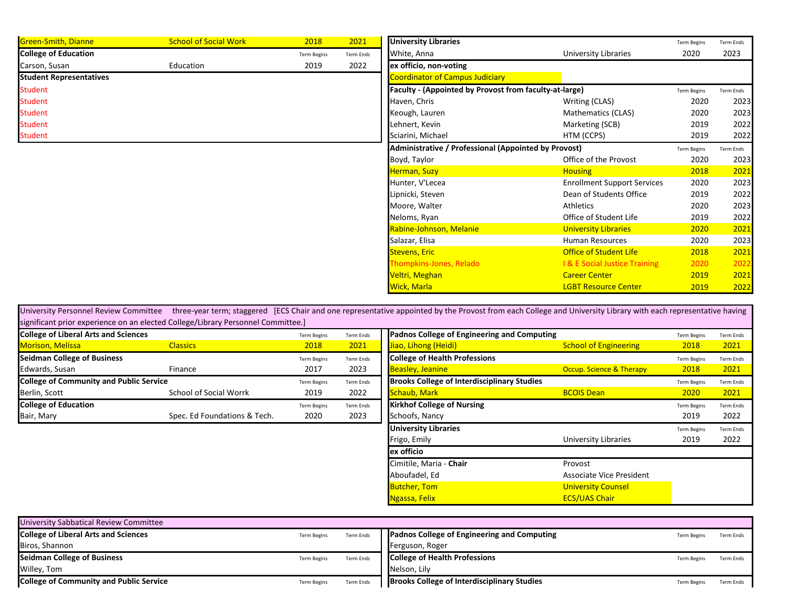| Green-Smith, Dianne            | <b>School of Social Work</b> | 2018               | 2021      | <b>University Libraries</b>                            |                                         | <b>Term Begins</b> | Term Ends |
|--------------------------------|------------------------------|--------------------|-----------|--------------------------------------------------------|-----------------------------------------|--------------------|-----------|
| <b>College of Education</b>    |                              | <b>Term Begins</b> | Term Ends | White, Anna                                            | <b>University Libraries</b>             | 2020               | 2023      |
| Carson, Susan                  | Education                    | 2019               | 2022      | ex officio, non-voting                                 |                                         |                    |           |
| <b>Student Representatives</b> |                              |                    |           | <b>Coordinator of Campus Judiciary</b>                 |                                         |                    |           |
| <b>Student</b>                 |                              |                    |           | Faculty - (Appointed by Provost from faculty-at-large) |                                         | <b>Term Begins</b> | Term Ends |
| <b>Student</b>                 |                              |                    |           | Haven, Chris                                           | Writing (CLAS)                          | 2020               | 2023      |
| <b>Student</b>                 |                              |                    |           | Keough, Lauren                                         | Mathematics (CLAS)                      | 2020               | 2023      |
| <b>Student</b>                 |                              |                    |           | Lehnert, Kevin                                         | Marketing (SCB)                         | 2019               | 2022      |
| <b>Student</b>                 |                              |                    |           | Sciarini, Michael                                      | HTM (CCPS)                              | 2019               | 2022      |
|                                |                              |                    |           | Administrative / Professional (Appointed by Provost)   |                                         | <b>Term Begins</b> | Term Ends |
|                                |                              |                    |           | Boyd, Taylor                                           | Office of the Provost                   | 2020               | 2023      |
|                                |                              |                    |           | Herman, Suzy                                           | <b>Housing</b>                          | 2018               | 2021      |
|                                |                              |                    |           | Hunter, V'Lecea                                        | <b>Enrollment Support Services</b>      | 2020               | 2023      |
|                                |                              |                    |           | Lipnicki, Steven                                       | Dean of Students Office                 | 2019               | 2022      |
|                                |                              |                    |           | Moore, Walter                                          | Athletics                               | 2020               | 2023      |
|                                |                              |                    |           | Neloms, Ryan                                           | Office of Student Life                  | 2019               | 2022      |
|                                |                              |                    |           | Rabine-Johnson, Melanie                                | <b>University Libraries</b>             | 2020               | 2021      |
|                                |                              |                    |           | Salazar, Elisa                                         | <b>Human Resources</b>                  | 2020               | 2023      |
|                                |                              |                    |           | <b>Stevens, Eric</b>                                   | <b>Office of Student Life</b>           | 2018               | 2021      |
|                                |                              |                    |           | <b>Thompkins-Jones, Relado</b>                         | <b>1&amp; E Social Justice Training</b> | 2020               | 2022      |
|                                |                              |                    |           | Veltri, Meghan                                         | <b>Career Center</b>                    | 2019               | 2021      |
|                                |                              |                    |           | <b>Wick, Marla</b>                                     | <b>LGBT Resource Center</b>             | 2019               | 2022      |

| <b>University Personnel Review Committee</b>                                     |                              |                    |                  | three-year term; staggered [ECS Chair and one representative appointed by the Provost from each College and University Library with each representative having |                              |                    |                  |
|----------------------------------------------------------------------------------|------------------------------|--------------------|------------------|----------------------------------------------------------------------------------------------------------------------------------------------------------------|------------------------------|--------------------|------------------|
| significant prior experience on an elected College/Library Personnel Committee.] |                              |                    |                  |                                                                                                                                                                |                              |                    |                  |
| <b>College of Liberal Arts and Sciences</b>                                      |                              | <b>Term Begins</b> | <b>Term Ends</b> | Padnos College of Engineering and Computing                                                                                                                    |                              | <b>Term Begins</b> | <b>Term Ends</b> |
| <b>Morison, Melissa</b>                                                          | <b>Classics</b>              | 2018               | 2021             | Jiao, Lihong (Heidi)                                                                                                                                           | <b>School of Engineering</b> | 2018               | 2021             |
| <b>Seidman College of Business</b>                                               |                              | <b>Term Begins</b> | <b>Term Ends</b> | <b>College of Health Professions</b>                                                                                                                           |                              | <b>Term Begins</b> | <b>Term Ends</b> |
| Edwards, Susan                                                                   | Finance                      | 2017               | 2023             | <b>Beasley, Jeanine</b>                                                                                                                                        | Occup. Science & Therapy     | 2018               | 2021             |
| <b>College of Community and Public Service</b>                                   |                              | <b>Term Begins</b> | Term Ends        | <b>Brooks College of Interdisciplinary Studies</b>                                                                                                             |                              | <b>Term Begins</b> | <b>Term Ends</b> |
| Berlin, Scott                                                                    | School of Social Worrk       | 2019               | 2022             | Schaub, Mark                                                                                                                                                   | <b>BCOIS Dean</b>            | 2020               | 2021             |
| <b>College of Education</b>                                                      |                              | <b>Term Begins</b> | Term Ends        | <b>Kirkhof College of Nursing</b>                                                                                                                              |                              | <b>Term Begins</b> | <b>Term Ends</b> |
| Bair, Mary                                                                       | Spec. Ed Foundations & Tech. | 2020               | 2023             | Schoofs, Nancy                                                                                                                                                 |                              | 2019               | 2022             |
|                                                                                  |                              |                    |                  | <b>University Libraries</b>                                                                                                                                    |                              | <b>Term Begins</b> | <b>Term Ends</b> |
|                                                                                  |                              |                    |                  | Frigo, Emily                                                                                                                                                   | University Libraries         | 2019               | 2022             |
|                                                                                  |                              |                    |                  | ex officio                                                                                                                                                     |                              |                    |                  |
|                                                                                  |                              |                    |                  | Cimitile, Maria - Chair                                                                                                                                        | Provost                      |                    |                  |
|                                                                                  |                              |                    |                  | Aboufadel, Ed                                                                                                                                                  | Associate Vice President     |                    |                  |
|                                                                                  |                              |                    |                  | <b>Butcher, Tom</b>                                                                                                                                            | <b>University Counsel</b>    |                    |                  |
|                                                                                  |                              |                    |                  | Ngassa, Felix                                                                                                                                                  | <b>ECS/UAS Chair</b>         |                    |                  |

| University Sabbatical Review Committee         |                    |                  |                                                    |                    |           |
|------------------------------------------------|--------------------|------------------|----------------------------------------------------|--------------------|-----------|
| <b>College of Liberal Arts and Sciences</b>    | <b>Term Begins</b> | <b>Term Ends</b> | <b>Padnos College of Engineering and Computing</b> | Term Begins        | Term Ends |
| Biros, Shannon                                 |                    |                  | Ferguson, Roger                                    |                    |           |
| <b>Seidman College of Business</b>             | <b>Term Begins</b> | <b>Term Ends</b> | <b>College of Health Professions</b>               | Term Begins        | Term Ends |
| Willey, Tom                                    |                    |                  | Nelson, Lily                                       |                    |           |
| <b>College of Community and Public Service</b> | <b>Term Begins</b> | <b>Term Ends</b> | <b>Brooks College of Interdisciplinary Studies</b> | <b>Term Begins</b> | Term Ends |